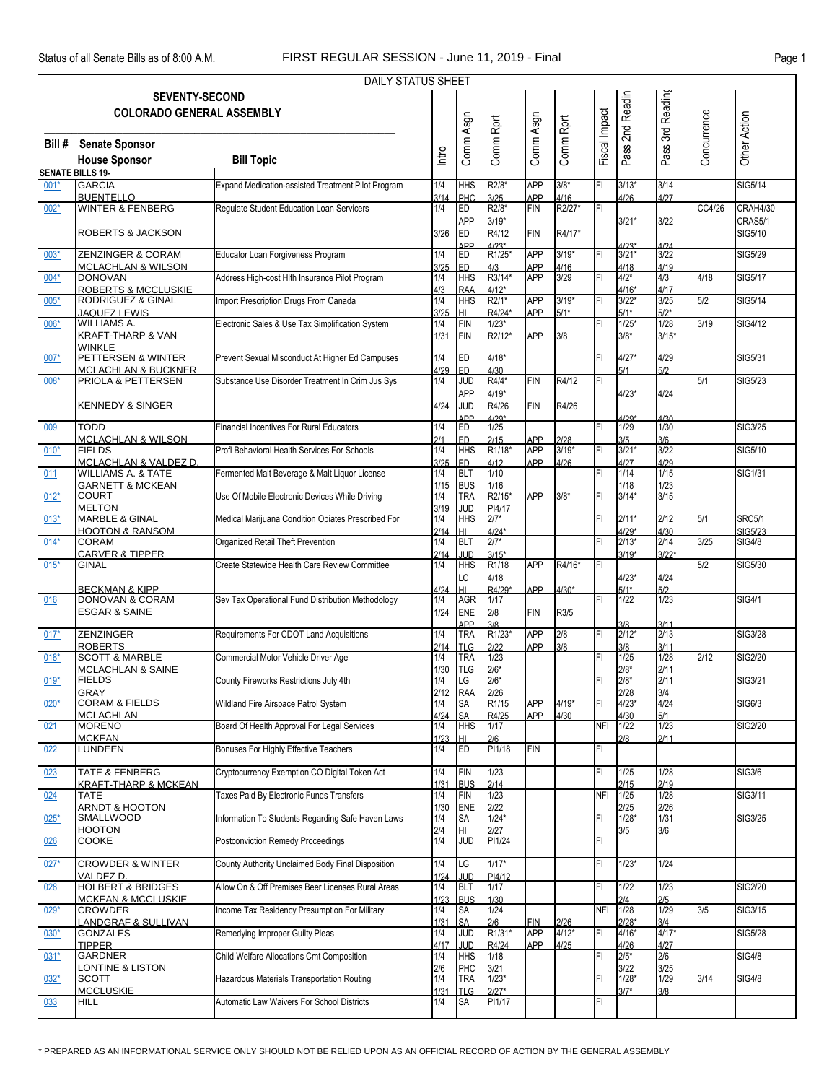|        |                                                              | DAILY STATUS SHEET                                 |             |                              |                   |                          |                   |               |                         |                 |             |                          |
|--------|--------------------------------------------------------------|----------------------------------------------------|-------------|------------------------------|-------------------|--------------------------|-------------------|---------------|-------------------------|-----------------|-------------|--------------------------|
|        | <b>SEVENTY-SECOND</b><br><b>COLORADO GENERAL ASSEMBLY</b>    |                                                    |             |                              |                   |                          |                   |               | 2nd Readin              | 3rd Readin      |             |                          |
| Bill # | <b>Senate Sponsor</b>                                        |                                                    |             | Comm Asgn                    | Comm Rprt         | Comm Asgn                | Comm Rprt         | Fiscal Impact | Pass <sup>'</sup>       | Pass:           | Concurrence | <b>Other Action</b>      |
|        | <b>House Sponsor</b>                                         | <b>Bill Topic</b>                                  | ntro        |                              |                   |                          |                   |               |                         |                 |             |                          |
|        | <b>SENATE BILLS 19-</b>                                      |                                                    |             |                              |                   |                          |                   |               |                         |                 |             |                          |
| $001*$ | <b>GARCIA</b>                                                | Expand Medication-assisted Treatment Pilot Program | 1/4         | <b>HHS</b>                   | R2/8*             | <b>APP</b>               | $3/8*$            | FL            | $3/13*$                 | 3/14            |             | SIG5/14                  |
|        | <b>BUENTELLO</b><br><b>WINTER &amp; FENBERG</b>              | Regulate Student Education Loan Servicers          | 3/14<br>1/4 | PHC<br>ED                    | 3/25<br>R2/8*     | <b>APP</b><br><b>FIN</b> | 4/16<br>R2/27*    | IFI           | 4/26                    | 4/27            | CC4/26      | CRAH4/30                 |
| $002*$ |                                                              |                                                    |             | <b>APP</b>                   | $3/19*$           |                          |                   |               | $3/21*$                 | 3/22            |             | CRAS5/1                  |
|        | <b>ROBERTS &amp; JACKSON</b>                                 |                                                    | 3/26        | <b>ED</b><br><b>ADD</b>      | R4/12<br>$1/23*$  | <b>FIN</b>               | R4/17*            |               | $4/23*$                 | 1/24            |             | SIG5/10                  |
| $003*$ | ZENZINGER & CORAM<br><b>MCLACHLAN &amp; WILSON</b>           | Educator Loan Forgiveness Program                  | 1/4<br>3/25 | ED<br><b>ED</b>              | R1/25*<br>4/3     | <b>APP</b><br>APP        | $3/19*$<br>4/16   | FI            | $3/21*$<br>4/18         | 3/22<br>4/19    |             | <b>SIG5/29</b>           |
| $004*$ | <b>DONOVAN</b><br><b>ROBERTS &amp; MCCLUSKIE</b>             | Address High-cost Hlth Insurance Pilot Program     | 1/4<br>4/3  | <b>HHS</b><br><b>RAA</b>     | R3/14*<br>$4/12*$ | <b>APP</b>               | 3/29              | FL            | $4/2*$<br>$4/16*$       | 4/3<br>4/17     | 4/18        | SIG5/17                  |
| $005*$ | <b>RODRIGUEZ &amp; GINAL</b><br><b>JAQUEZ LEWIS</b>          | Import Prescription Drugs From Canada              | 1/4<br>3/25 | <b>HHS</b><br>H <sub>L</sub> | $R2/1*$<br>R4/24* | <b>APP</b><br><b>APP</b> | $3/19*$<br>$5/1*$ | FI            | $3/22*$<br>$5/1*$       | 3/25<br>$5/2*$  | 5/2         | <b>SIG5/14</b>           |
| $006*$ | <b>WILLIAMS A.</b>                                           | Electronic Sales & Use Tax Simplification System   | 1/4         | <b>FIN</b>                   | $1/23*$           |                          |                   | İΕΙ           | $1/25*$                 | 1/28            | 3/19        | <b>SIG4/12</b>           |
|        | <b>KRAFT-THARP &amp; VAN</b><br><b>WINKLE</b>                |                                                    | 1/31        | <b>FIN</b>                   | R2/12*            | <b>APP</b>               | 3/8               |               | $3/8*$                  | $3/15*$         |             |                          |
| 007*   | PETTERSEN & WINTER<br><b>MCLACHLAN &amp; BUCKNER</b>         | Prevent Sexual Misconduct At Higher Ed Campuses    | 1/4<br>4/29 | ED<br><b>ED</b>              | $4/18*$<br>4/30   |                          |                   | FI            | $4/27*$<br>5/1          | 4/29<br>5/2     |             | SIG5/31                  |
| $008*$ | PRIOLA & PETTERSEN                                           | Substance Use Disorder Treatment In Crim Jus Sys   | 1/4         | <b>JUD</b><br><b>APP</b>     | R4/4*<br>$4/19*$  | <b>FIN</b>               | R4/12             | IFI           | $4/23*$                 | 4/24            | 5/1         | <b>SIG5/23</b>           |
|        | <b>KENNEDY &amp; SINGER</b>                                  |                                                    | 4/24        | <b>JUD</b><br><b>APP</b>     | R4/26<br>$1/2Q*$  | <b>FIN</b>               | R4/26             |               | $4/29*$                 | <b>A/30</b>     |             |                          |
| 009    | <b>TODD</b>                                                  | <b>Financial Incentives For Rural Educators</b>    | 1/4         | <b>ED</b>                    | 1/25              |                          |                   | FL            | 1/29                    | 1/30            |             | <b>SIG3/25</b>           |
| $010*$ | <b>MCLACHLAN &amp; WILSON</b><br><b>FIELDS</b>               | Profl Behavioral Health Services For Schools       | 2/1<br>1/4  | <b>ED</b><br><b>HHS</b>      | 2/15<br>R1/18*    | <b>APP</b><br><b>APP</b> | 2/28<br>$3/19*$   | FI            | 3/5<br>$3/21*$          | 3/6<br>3/22     |             | SIG5/10                  |
|        | MCLACHLAN & VALDEZ D.                                        |                                                    | 3/25        | <b>ED</b>                    | 4/12              | <b>APP</b>               | 4/26              |               | 4/27                    | 4/29            |             |                          |
| 011    | <b>WILLIAMS A. &amp; TATE</b><br><b>GARNETT &amp; MCKEAN</b> | Fermented Malt Beverage & Malt Liquor License      | 1/4<br>1/15 | <b>BLT</b><br><b>BUS</b>     | $1/10$<br>1/16    |                          |                   | FI            | 1/14<br>1/18            | 1/15<br>1/23    |             | SIG1/31                  |
| $012*$ | <b>COURT</b><br><b>MELTON</b>                                | Use Of Mobile Electronic Devices While Driving     | 1/4<br>3/19 | <b>TRA</b><br><b>JUD</b>     | R2/15*<br>PI4/17  | <b>APP</b>               | $3/8*$            | FI            | $3/14*$                 | 3/15            |             |                          |
| $013*$ | <b>MARBLE &amp; GINAL</b>                                    | Medical Marijuana Condition Opiates Prescribed For | 1/4         | <b>HHS</b>                   | $2/7*$            |                          |                   | FI            | $2/11*$                 | 2/12            | 5/1         | <b>SRC5/1</b>            |
| $014*$ | <b>HOOTON &amp; RANSOM</b><br><b>CORAM</b>                   | Organized Retail Theft Prevention                  | 2/14<br>1/4 | $H\Box$<br><b>BLT</b>        | $4/24*$<br>$2/7*$ |                          |                   | FL            | $4/29*$<br>$2/13*$      | 4/30<br>2/14    | 3/25        | SIG5/23<br><b>SIG4/8</b> |
|        | <b>CARVER &amp; TIPPER</b>                                   |                                                    | 2/14        | JUD                          | $3/15*$           |                          |                   |               | $3/19*$                 | $3/22*$         |             |                          |
| $015*$ | <b>GINAL</b>                                                 | Create Statewide Health Care Review Committee      | 1/4         | <b>HHS</b><br>LC             | R1/18<br>4/18     | <b>APP</b>               | R4/16*            | IFI           | $4/23*$                 | 4/24            | 5/2         | SIG5/30                  |
| 016    | <b>BECKMAN &amp; KIPP</b><br><b>DONOVAN &amp; CORAM</b>      | Sev Tax Operational Fund Distribution Methodology  | 4/24<br>1/4 | H <sub>L</sub><br>AGR        | R4/29*<br>1/17    | <b>APP</b>               | $4/30*$           | FL            | $5/1*$<br>$\frac{1}{2}$ | 5/2<br>1/23     |             | <b>SIG4/1</b>            |
|        | <b>ESGAR &amp; SAINE</b>                                     |                                                    | 1/24        | <b>ENE</b><br><b>APP</b>     | 2/8               | <b>FIN</b>               | R3/5              |               |                         | 3/11            |             |                          |
| $017*$ | <b>ZENZINGER</b><br><b>ROBERTS</b>                           | Requirements For CDOT Land Acquisitions            | 1/4<br>2/14 | <b>TRA</b><br><b>TLG</b>     | R1/23*<br>2/22    | <b>APP</b><br><b>APP</b> | 2/8<br>3/8        | FI            | $2/12*$<br>3/8          | 2/13<br>3/11    |             | <b>SIG3/28</b>           |
| $018*$ | <b>SCOTT &amp; MARBLE</b>                                    | Commercial Motor Vehicle Driver Age                | 1/4         | <b>TRA</b>                   | 1/23              |                          |                   | FI            | $1/25$                  | 1/28            | 2/12        | <b>SIG2/20</b>           |
| $019*$ | <b>MCLACHLAN &amp; SAINE</b><br><b>FIELDS</b>                | County Fireworks Restrictions July 4th             | 1/30<br>1/4 | <b>TLG</b><br>LG             | $2/6*$<br>$2/6*$  |                          |                   | FI            | $2/8*$<br>$2/8*$        | 2/11<br>2/11    |             | SIG3/21                  |
|        | <b>GRAY</b>                                                  |                                                    | 2/12        | <b>RAA</b>                   | 2/26              |                          |                   |               | 2/28                    | 3/4             |             |                          |
| $020*$ | <b>CORAM &amp; FIELDS</b><br><b>MCLACHLAN</b>                | Wildland Fire Airspace Patrol System               | 1/4<br>4/24 | <b>SA</b><br><b>SA</b>       | R1/15<br>R4/25    | <b>APP</b><br>APP        | $4/19*$<br>4/30   | ΙFΙ           | $4/23*$<br>4/30         | 4/24<br>5/1     |             | SIG6/3                   |
| 021    | <b>MORENO</b>                                                | Board Of Health Approval For Legal Services        | 1/4         | <b>HHS</b>                   | $1/17$            |                          |                   | <b>NFI</b>    | 1/22                    | 1/23            |             | <b>SIG2/20</b>           |
| 022    | <b>MCKEAN</b><br><b>LUNDEEN</b>                              | Bonuses For Highly Effective Teachers              | 1/23<br>1/4 | HI<br><b>ED</b>              | 2/6<br>PI1/18     | <b>FIN</b>               |                   | FI            | 2/8                     | 2/11            |             |                          |
| 023    | <b>TATE &amp; FENBERG</b>                                    | Cryptocurrency Exemption CO Digital Token Act      | 1/4         | <b>FIN</b>                   | 1/23              |                          |                   | FI            | 1/25                    | 1/28            |             | <b>SIG3/6</b>            |
| 024    | <b>KRAFT-THARP &amp; MCKEAN</b><br><b>TATE</b>               | Taxes Paid By Electronic Funds Transfers           | 1/31<br>1/4 | <b>BUS</b><br><b>FIN</b>     | 2/14<br>1/23      |                          |                   | <b>NFI</b>    | 2/15<br>1/25            | 2/19<br>1/28    |             | SIG3/11                  |
| $025*$ | <b>ARNDT &amp; HOOTON</b><br><b>SMALLWOOD</b>                | Information To Students Regarding Safe Haven Laws  | 1/30<br>1/4 | <b>ENE</b><br><b>SA</b>      | 2/22<br>$1/24*$   |                          |                   | FI            | 2125<br>$1/28*$         | 2/26<br>1/31    |             | SIG3/25                  |
| 026    | <b>HOOTON</b><br><b>COOKE</b>                                | Postconviction Remedy Proceedings                  | 2/4<br>1/4  | HL.<br><b>JUD</b>            | 2/27<br>PI1/24    |                          |                   | FI            | 3/5                     | 3/6             |             |                          |
| $027*$ | <b>CROWDER &amp; WINTER</b>                                  | County Authority Unclaimed Body Final Disposition  | 1/4         | LG                           | $1/17*$           |                          |                   | FI            | $1/23*$                 | 1/24            |             |                          |
|        | VALDEZ D.<br><b>HOLBERT &amp; BRIDGES</b>                    | Allow On & Off Premises Beer Licenses Rural Areas  | 1/24<br>1/4 | JUD                          | PI4/12<br>1/17    |                          |                   | FI            | 1/22                    | 1/23            |             | SIG2/20                  |
| 028    | <b>MCKEAN &amp; MCCLUSKIE</b>                                |                                                    | 1/23        | <b>BLT</b><br><b>BUS</b>     | 1/30              |                          |                   |               | 2/4                     | 2/5             |             |                          |
| $029*$ | <b>CROWDER</b><br><b>LANDGRAF &amp; SULLIVAN</b>             | Income Tax Residency Presumption For Military      | 1/4<br>1/31 | <b>SA</b><br><b>SA</b>       | 1/24<br>2/6       | <b>FIN</b>               | 2/26              | <b>NFI</b>    | 1/28<br>$2/28*$         | 1/29<br>3/4     | 3/5         | SIG3/15                  |
| $030*$ | <b>GONZALES</b><br><b>TIPPER</b>                             | Remedying Improper Guilty Pleas                    | 1/4<br>4/17 | JUD<br>JUD                   | R1/31*<br>R4/24   | <b>APP</b><br>APP        | $4/12*$<br>4/25   | FI            | $4/16*$<br>4/26         | $4/17*$<br>4/27 |             | <b>SIG5/28</b>           |
| $031*$ | <b>GARDNER</b><br><b>LONTINE &amp; LISTON</b>                | Child Welfare Allocations Cmt Composition          | 1/4<br>2/6  | <b>HHS</b><br><b>PHC</b>     | 1/18<br>3/21      |                          |                   | FI            | $2/5*$<br>3/22          | 2/6<br>3/25     |             | <b>SIG4/8</b>            |
| $032*$ | <b>SCOTT</b>                                                 | Hazardous Materials Transportation Routing         | 1/4         | <b>TRA</b>                   | $1/23*$           |                          |                   | FI            | $1/28*$                 | 1/29            | 3/14        | <b>SIG4/8</b>            |
| 033    | <b>MCCLUSKIE</b><br><b>HILL</b>                              | Automatic Law Waivers For School Districts         | 1/31<br>1/4 | <b>TLG</b><br><b>SA</b>      | $2/27*$<br>PI1/17 |                          |                   | FI            | $3/7*$                  | 3/8             |             |                          |
|        |                                                              |                                                    |             |                              |                   |                          |                   |               |                         |                 |             |                          |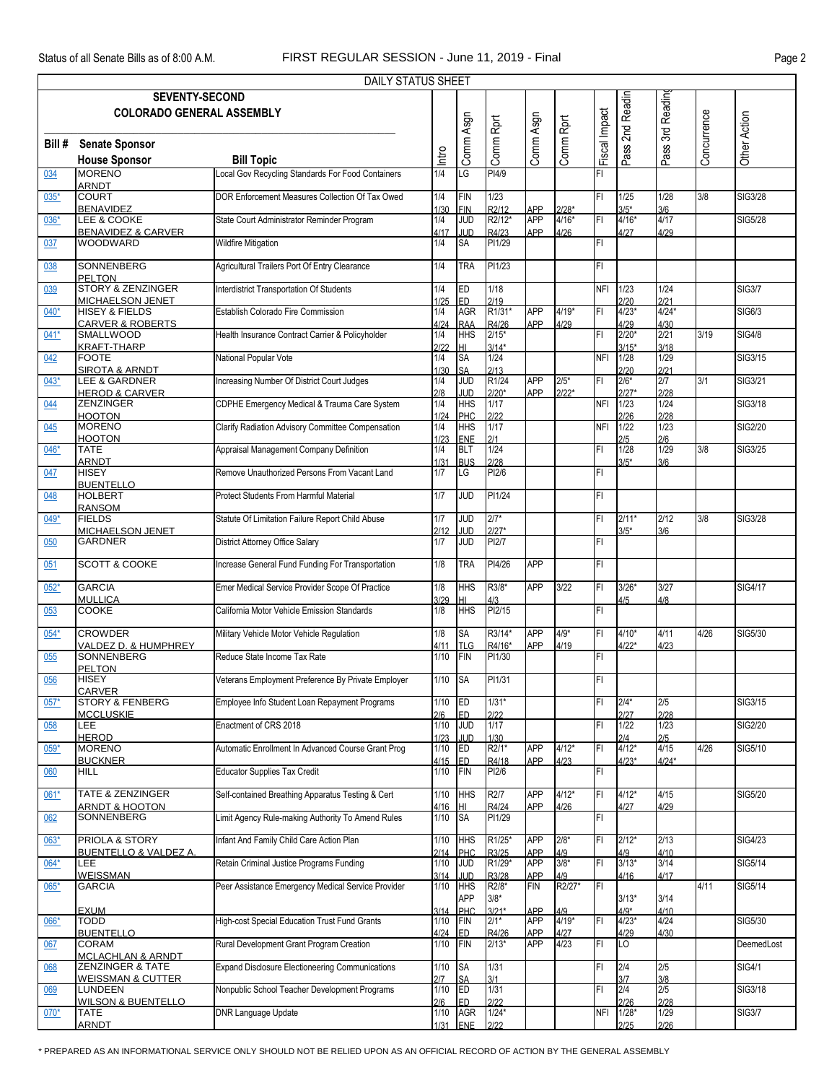|        |                                                             | <b>DAILY STATUS SHEET</b>                              |                |                          |                              |                          |                                 |               |                    |                 |             |                |
|--------|-------------------------------------------------------------|--------------------------------------------------------|----------------|--------------------------|------------------------------|--------------------------|---------------------------------|---------------|--------------------|-----------------|-------------|----------------|
|        | <b>SEVENTY-SECOND</b><br><b>COLORADO GENERAL ASSEMBLY</b>   |                                                        |                |                          |                              |                          |                                 |               | Pass 2nd Readin    | 3rd Readin      |             |                |
| Bill # | <b>Senate Sponsor</b>                                       |                                                        |                | Comm Asgn                | Comm Rprt                    | Comm Asgn                | Comm Rprt                       | Fiscal Impact |                    |                 | Concurrence | Other Action   |
|        | <b>House Sponsor</b>                                        | <b>Bill Topic</b>                                      | Intro          |                          |                              |                          |                                 |               |                    | Pass:           |             |                |
| 034    | <b>MORENO</b><br><b>ARNDT</b>                               | Local Gov Recycling Standards For Food Containers      | 1/4            | LG                       | PI4/9                        |                          |                                 | FI            |                    |                 |             |                |
| 035*   | <b>COURT</b>                                                | DOR Enforcement Measures Collection Of Tax Owed        | 1/4            | <b>FIN</b>               | 1/23                         |                          |                                 | FI            | 1/25               | 1/28            | 3/8         | SIG3/28        |
| $036*$ | <b>BENAVIDEZ</b><br>LEE & COOKE                             | State Court Administrator Reminder Program             | 1/30<br>1/4    | <b>FIN</b><br><b>JUD</b> | R <sub>2</sub> /12<br>R2/12* | <b>APP</b><br><b>APP</b> | $2/28*$<br>$4/16*$              | FI            | $3/5*$<br>$4/16*$  | 3/6<br>4/17     |             | <b>SIG5/28</b> |
| 037    | <b>BENAVIDEZ &amp; CARVER</b><br><b>WOODWARD</b>            | <b>Wildfire Mitigation</b>                             | 4/17<br>1/4    | <b>JUD</b><br><b>SA</b>  | R4/23<br>PI1/29              | APP                      | 4/26                            | FI.           | 4/27               | 4/29            |             |                |
| 038    | <b>SONNENBERG</b>                                           | Agricultural Trailers Port Of Entry Clearance          | 1/4            | <b>TRA</b>               | PI1/23                       |                          |                                 | FI.           |                    |                 |             |                |
|        | PELTON                                                      |                                                        |                |                          |                              |                          |                                 |               |                    |                 |             |                |
| 039    | <b>STORY &amp; ZENZINGER</b><br><b>MICHAELSON JENET</b>     | Interdistrict Transportation Of Students               | 1/4<br>1/25    | <b>ED</b><br><b>IED</b>  | 1/18<br>2/19                 |                          |                                 |               | NFI 1/23<br>2/20   | 1/24<br>2/21    |             | <b>SIG3/7</b>  |
| $040*$ | <b>HISEY &amp; FIELDS</b><br><b>CARVER &amp; ROBERTS</b>    | Establish Colorado Fire Commission                     | 1/4<br>4/24    | <b>AGR</b><br><b>RAA</b> | R1/31*<br>R4/26              | <b>APP</b><br>APP        | $4/19*$<br>4/29                 | FI            | $4/23*$<br>4/29    | $4/24*$<br>4/30 |             | SIG6/3         |
| $041*$ | <b>SMALLWOOD</b><br><b>KRAFT-THARP</b>                      | Health Insurance Contract Carrier & Policyholder       | 1/4<br>2122    | <b>HHS</b><br>HL         | $2/15*$<br>$3/14*$           |                          |                                 | FI.           | $2/20*$<br>$3/15*$ | 2/21<br>3/18    | 3/19        | <b>SIG4/8</b>  |
| 042    | <b>FOOTE</b>                                                | National Popular Vote                                  | 1/4            | SA                       | 1/24                         |                          |                                 | <b>NFI</b>    | 1/28               | 1/29            |             | SIG3/15        |
| $043*$ | <b>SIROTA &amp; ARNDT</b><br>LEE & GARDNER                  | Increasing Number Of District Court Judges             | 1/30<br>1/4    | <b>SA</b><br><b>JUD</b>  | 2/13<br>R1/24                | <b>APP</b>               | $2/5*$                          | FI            | 2/20<br>$2/6*$     | 2/21<br>2/7     | 3/1         | <b>SIG3/21</b> |
| 044    | <b>HEROD &amp; CARVER</b><br><b>ZENZINGER</b>               | CDPHE Emergency Medical & Trauma Care System           | 2/8<br>1/4     | <b>JUD</b><br><b>HHS</b> | $2/20*$<br>1/17              | <b>APP</b>               | $2/22*$                         | <b>NFI</b>    | $2/27*$<br>1/23    | 2/28<br>1/24    |             | SIG3/18        |
| 045    | <b>HOOTON</b><br><b>MORENO</b>                              | Clarify Radiation Advisory Committee Compensation      | 1/24<br>1/4    | PHC<br><b>HHS</b>        | 2/22<br>1/17                 |                          |                                 | <b>NFI</b>    | 2/26<br>1/22       | 2/28<br>1/23    |             | <b>SIG2/20</b> |
|        | <b>HOOTON</b><br><b>TATE</b>                                |                                                        | 1/23           | <b>ENE</b>               | 2/1<br>1/24                  |                          |                                 | FI.           | 2/5<br>1/28        | 2/6<br>1/29     | 3/8         |                |
| $046*$ | <b>ARNDT</b>                                                | Appraisal Management Company Definition                | 1/4<br>1/31    | <b>BLT</b><br><b>BUS</b> | 2/28                         |                          |                                 |               | $3/5*$             | 3/6             |             | SIG3/25        |
| 047    | <b>HISEY</b><br><b>BUENTELLO</b>                            | Remove Unauthorized Persons From Vacant Land           | 1/7            | LG                       | PI2/6                        |                          |                                 | FI.           |                    |                 |             |                |
| 048    | <b>HOLBERT</b><br><b>RANSOM</b>                             | Protect Students From Harmful Material                 | 1/7            | <b>JUD</b>               | PI1/24                       |                          |                                 | FI.           |                    |                 |             |                |
| $049*$ | <b>FIELDS</b><br><b>MICHAELSON JENET</b>                    | Statute Of Limitation Failure Report Child Abuse       | 1/7<br>2/12    | <b>JUD</b><br><b>JUD</b> | $2/7*$<br>$2/27*$            |                          |                                 | FI.           | $2/11*$<br>$3/5*$  | 2/12<br>3/6     | 3/8         | SIG3/28        |
| 050    | <b>GARDNER</b>                                              | District Attorney Office Salary                        | 1/7            | <b>JUD</b>               | PI2/7                        |                          |                                 | FI.           |                    |                 |             |                |
| 051    | <b>SCOTT &amp; COOKE</b>                                    | Increase General Fund Funding For Transportation       | 1/8            | <b>TRA</b>               | PI4/26                       | <b>APP</b>               |                                 | FI.           |                    |                 |             |                |
| $052*$ | <b>GARCIA</b><br>MULLICA                                    | Emer Medical Service Provider Scope Of Practice        | 1/8<br>3/29    | <b>HHS</b>               | R3/8*<br>4/3                 | <b>APP</b>               | 3/22                            | FI            | $3/26*$<br>4/5     | 3/27<br>4/8     |             | <b>SIG4/17</b> |
| 053    | <b>COOKE</b>                                                | California Motor Vehicle Emission Standards            | 1/8            | <b>HHS</b>               | PI2/15                       |                          |                                 | FI            |                    |                 |             |                |
| $054*$ | <b>CROWDER</b><br>VALDEZ D. & HUMPHREY                      | Military Vehicle Motor Vehicle Regulation              | 1/8<br>4/11    | <b>SA</b><br><b>TLG</b>  | R3/14*<br>R4/16*             | <b>APP</b><br>APP        | $4/9*$<br>4/19                  | FI            | $4/10*$<br>$4/22*$ | 4/11<br>4/23    | 4/26        | SIG5/30        |
| 055    | SONNENBERG<br><b>PELTON</b>                                 | Reduce State Income Tax Rate                           | 1/10           | FIN                      | PI1/30                       |                          |                                 | FI.           |                    |                 |             |                |
| 056    | <b>HISEY</b><br><b>CARVER</b>                               | Veterans Employment Preference By Private Employer     | 1/10           | SA                       | PI1/31                       |                          |                                 | FI            |                    |                 |             |                |
| $057*$ | <b>STORY &amp; FENBERG</b>                                  | Employee Info Student Loan Repayment Programs          | 1/10           | ED                       | $1/31*$                      |                          |                                 | FI            | $2/4*$             | 2/5             |             | SIG3/15        |
| 058    | <b>MCCLUSKIE</b><br>LEE                                     | Enactment of CRS 2018                                  | 2/6<br>1/10    | <b>ED</b><br><b>JUD</b>  | 2/22<br>1/17                 |                          |                                 | FI.           | 2/27<br>1/22       | 2/28<br>1/23    |             | <b>SIG2/20</b> |
| $059*$ | <b>HEROD</b><br><b>MORENO</b>                               | Automatic Enrollment In Advanced Course Grant Prog     | 1/23<br>1/10   | JUD<br>ED                | 1/30<br>R2/1*                | <b>APP</b>               | $4/12*$                         | FI            | 2/4<br>$4/12*$     | 2/5<br>4/15     | 4/26        | SIG5/10        |
| 060    | <b>BUCKNER</b><br>HILL                                      | <b>Educator Supplies Tax Credit</b>                    | 4/15<br>1/10   | <b>IED</b><br>FIN        | R4/18<br>PI2/6               | APP                      | 4/23                            | FI            | $4/23*$            | $4/24*$         |             |                |
| $061*$ | <b>TATE &amp; ZENZINGER</b>                                 | Self-contained Breathing Apparatus Testing & Cert      | 1/10           | <b>HHS</b>               | R2/7                         | <b>APP</b>               | $4/12*$                         | FI            | $4/12*$            | 4/15            |             | <b>SIG5/20</b> |
|        | <u>ARNDT &amp; HOOTON</u>                                   |                                                        | 4/16           | Iнı                      | R4/24                        | APP                      | 4/26                            |               | 4/27               | 4/29            |             |                |
| 062    | SONNENBERG                                                  | Limit Agency Rule-making Authority To Amend Rules      | 1/10           | <b>SA</b>                | PI1/29                       |                          |                                 | FI.           |                    |                 |             |                |
| $063*$ | PRIOLA & STORY<br><b>BUENTELLO &amp; VALDEZ A.</b>          | Infant And Family Child Care Action Plan               | 1/10<br>2/14   | <b>HHS</b><br><b>PHC</b> | R1/25*<br>R3/25              | <b>APP</b><br><b>APP</b> | $2/8*$<br>$\frac{4/9}{3/8^{*}}$ | FI            | $2/12*$<br>4/9     | 2/13<br>4/10    |             | <b>SIG4/23</b> |
| 064*   | LEE<br><b>WEISSMAN</b>                                      | Retain Criminal Justice Programs Funding               | 1/10<br>3/14   | g<br><b>JUD</b>          | R1/29*<br>R3/28              | <b>APP</b><br><b>APP</b> | 4/9                             | F1            | $3/13*$<br>4/16    | 3/14<br>4/17    |             | SIG5/14        |
| $065*$ | <b>GARCIA</b>                                               | Peer Assistance Emergency Medical Service Provider     | 1/10           | <b>HHS</b><br><b>APP</b> | R2/8*<br>$3/8*$              | <b>FIN</b>               | R2/27*                          | IFL           | $3/13*$            | 3/14            | 4/11        | SIG5/14        |
| 066*   | <b>EXUM</b><br><b>TODD</b>                                  | High-cost Special Education Trust Fund Grants          | 3/14<br>1/10   | PH <sub>C</sub><br>FIN   | $3/21*$<br>$2/1*$            | <b>APP</b><br><b>APP</b> | 4/9<br>$4/19*$                  | FI            | $4/9*$<br>$4/23*$  | 4/10<br>4/24    |             | SIG5/30        |
| 067    | <b>BUENTELLO</b><br><b>CORAM</b>                            | Rural Development Grant Program Creation               | 4/24<br>1/10   | <b>ED</b><br>FIN         | R4/26<br>$2/13*$             | <b>APP</b><br><b>APP</b> | $\frac{4/27}{4/23}$             | FI            | 4/29<br>LO         | 4/30            |             | DeemedLost     |
| 068    | <b>MCLACHLAN &amp; ARNDT</b><br><b>ZENZINGER &amp; TATE</b> | <b>Expand Disclosure Electioneering Communications</b> | 1/10           | <b>SA</b>                | 1/31                         |                          |                                 | FI.           | 2/4                | 2/5             |             | <b>SIG4/1</b>  |
|        | <b>WEISSMAN &amp; CUTTER</b>                                |                                                        | 2/7            | <b>SA</b>                | 3/1                          |                          |                                 |               | 3/7                | 3/8             |             |                |
| 069    | <b>LUNDEEN</b><br><b>WILSON &amp; BUENTELLO</b>             | Nonpublic School Teacher Development Programs          | $1/10$<br>2/6  | ED<br>ED.                | 1/31<br>2/22                 |                          |                                 | FI.           | 2/4<br>2/26        | 2/5<br>2/28     |             | SIG3/18        |
| $070*$ | <b>TATE</b><br><b>ARNDT</b>                                 | <b>DNR Language Update</b>                             | $1/10$<br>1/31 | <b>AGR</b><br>ENE        | $1/24*$<br>2122              |                          |                                 | <b>NFI</b>    | $1/28*$<br>2/25    | 1/29<br>2/26    |             | <b>SIG3/7</b>  |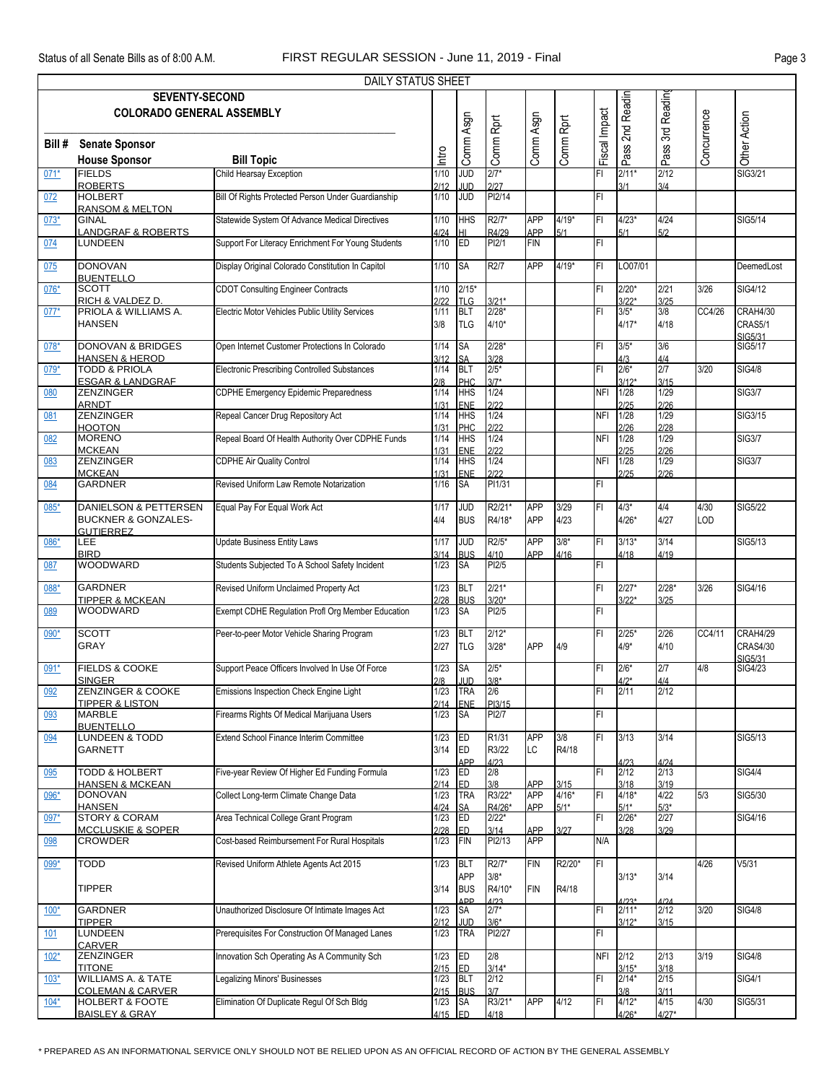|        |                                                            | DAILY STATUS SHEET                                  |                 |                          |                    |                   |                   |               |                    |                   |             |                             |
|--------|------------------------------------------------------------|-----------------------------------------------------|-----------------|--------------------------|--------------------|-------------------|-------------------|---------------|--------------------|-------------------|-------------|-----------------------------|
|        | <b>SEVENTY-SECOND</b>                                      |                                                     |                 |                          |                    |                   |                   |               | 2nd Readin         | 3rd Readin        |             |                             |
|        | <b>COLORADO GENERAL ASSEMBLY</b>                           |                                                     |                 |                          |                    |                   |                   | Fiscal Impact |                    |                   | Concurrence |                             |
|        |                                                            |                                                     |                 | Comm Asgn                | Comm Rprt          | Comm Asgn         | Comm Rprt         |               |                    |                   |             | Other Action                |
| Bill # | <b>Senate Sponsor</b><br><b>House Sponsor</b>              | <b>Bill Topic</b>                                   | Intro           |                          |                    |                   |                   |               | Pass <sup>'</sup>  | Pass <sup>?</sup> |             |                             |
| $071*$ | <b>FIELDS</b>                                              | Child Hearsay Exception                             | 1/10            | <b>JUD</b>               | $2/7*$             |                   |                   | F1            | $2/11*$            | 2/12              |             | SIG3/21                     |
|        | <b>ROBERTS</b>                                             |                                                     | 2/12            | <b>JUD</b>               | 2/27               |                   |                   |               | 3/1                | 3/4               |             |                             |
| 072    | <b>HOLBERT</b><br><b>RANSOM &amp; MELTON</b>               | Bill Of Rights Protected Person Under Guardianship  | 1/10            | <b>JUD</b>               | PI2/14             |                   |                   | FI            |                    |                   |             |                             |
| $073*$ | <b>GINAL</b>                                               | Statewide System Of Advance Medical Directives      | $1/10$          | <b>HHS</b>               | R2/7*              | <b>APP</b>        | $4/19*$           | IFI           | $4/23*$            | 4/24              |             | SIG5/14                     |
| 074    | <b>LANDGRAF &amp; ROBERTS</b><br><b>LUNDEEN</b>            | Support For Literacy Enrichment For Young Students  | 4/24<br>$1/10$  | HI.<br>ED                | R4/29<br>PI2/1     | APP<br><b>FIN</b> | 5/1               | IFL           | 5/1                | 5/2               |             |                             |
| 075    | <b>DONOVAN</b>                                             | Display Original Colorado Constitution In Capitol   | 1/10            | <b>SA</b>                | R <sub>2</sub> /7  | <b>APP</b>        | $4/19*$           | IFI           | LO07/01            |                   |             | DeemedLost                  |
| 076*   | <b>BUENTELLO</b><br><b>SCOTT</b>                           | <b>CDOT Consulting Engineer Contracts</b>           | 1/10            | $2/15*$                  |                    |                   |                   | IFI           | $2/20*$            | 2/21              | 3/26        | SIG4/12                     |
| $077*$ | RICH & VALDEZ D<br>PRIOLA & WILLIAMS A.                    | Electric Motor Vehicles Public Utility Services     | 2/22<br>1/11    | <b>TLG</b><br><b>BLT</b> | $3/21*$<br>$2/28*$ |                   |                   | FI            | $3/22*$<br>$3/5*$  | 3/25<br>3/8       | CC4/26      | CRAH4/30                    |
|        | <b>HANSEN</b>                                              |                                                     | 3/8             | <b>TLG</b>               | $4/10*$            |                   |                   |               | $4/17*$            | 4/18              |             | CRAS5/1<br>SIG5/31          |
| 078*   | <b>DONOVAN &amp; BRIDGES</b><br><b>HANSEN &amp; HEROD</b>  | Open Internet Customer Protections In Colorado      | 1/14<br>3/12    | <b>SA</b><br><b>SA</b>   | $2/28*$<br>3/28    |                   |                   | FI            | $3/5*$<br>4/3      | 3/6<br>4/4        |             | SIG5/17                     |
| $079*$ | <b>TODD &amp; PRIOLA</b><br><b>ESGAR &amp; LANDGRAF</b>    | <b>Electronic Prescribing Controlled Substances</b> | 1/14<br>2/8     | <b>BLT</b><br>PHC        | $2/5*$<br>$3/7*$   |                   |                   | FI            | $2/6*$<br>$3/12*$  | 2/7<br>3/15       | 3/20        | <b>SIG4/8</b>               |
| 080    | <b>ZENZINGER</b>                                           | <b>CDPHE Emergency Epidemic Preparedness</b>        | 1/14            | <b>HHS</b>               | 1/24               |                   |                   | NFI           | 1/28               | 1/29              |             | <b>SIG3/7</b>               |
| 081    | <b>ARNDT</b><br><b>ZENZINGER</b>                           | Repeal Cancer Drug Repository Act                   | 1/31<br>1/14    | ENE<br><b>HHS</b>        | 2/22<br>1/24       |                   |                   | <b>NFI</b>    | 2/25<br>1/28       | 2/26<br>1/29      |             | SIG3/15                     |
|        | <b>HOOTON</b>                                              |                                                     | 1/31            | PHC                      | 2122               |                   |                   |               | 2/26               | 2/28              |             |                             |
| 082    | <b>MORENO</b><br><b>MCKEAN</b>                             | Repeal Board Of Health Authority Over CDPHE Funds   | 1/14<br>1/31    | <b>HHS</b>               | 1/24<br>2/22       |                   |                   | <b>NFI</b>    | 1/28<br>2/25       | 1/29<br>2/26      |             | <b>SIG3/7</b>               |
| 083    | <b>ZENZINGER</b><br><b>MCKEAN</b>                          | <b>CDPHE Air Quality Control</b>                    | 1/14            | ENE<br>HHS<br><b>ENE</b> | 1/24<br>2/22       |                   |                   | <b>NFI</b>    | 1/28<br>2/25       | 1/29<br>2/26      |             | <b>SIG3/7</b>               |
| 084    | <b>GARDNER</b>                                             | Revised Uniform Law Remote Notarization             | 1/31<br>$1/16$  | <b>SA</b>                | PI1/31             |                   |                   | IFI           |                    |                   |             |                             |
| 085*   | DANIELSON & PETTERSEN                                      | Equal Pay For Equal Work Act                        | 1/17            | JUD                      | R2/21*             | <b>APP</b>        | 3/29              | IFI           | $4/3*$             | 4/4               | 4/30        | <b>SIG5/22</b>              |
|        | <b>BUCKNER &amp; GONZALES-</b><br><b>GUTIERREZ</b>         |                                                     | 4/4             | <b>BUS</b>               | R4/18*             | <b>APP</b>        | 4/23              |               | $4/26*$            | 4/27              | LOD         |                             |
| 086*   | LEE                                                        | <b>Update Business Entity Laws</b>                  | 1/17            | <b>JUD</b>               | R2/5*              | <b>APP</b>        | $3/8*$            | IFI           | $3/13*$            | 3/14              |             | SIG5/13                     |
| 087    | <b>BIRD</b><br><b>WOODWARD</b>                             | Students Subjected To A School Safety Incident      | 3/14<br>1/23    | <b>BUS</b><br><b>SA</b>  | 4/10<br>PI2/5      | APP               | 4/16              | IFI           | 4/18               | 4/19              |             |                             |
|        |                                                            |                                                     |                 |                          |                    |                   |                   |               |                    |                   |             |                             |
| 088*   | <b>GARDNER</b><br><b>TIPPER &amp; MCKEAN</b>               | Revised Uniform Unclaimed Property Act              | 1/23<br>2/28    | <b>BLT</b><br><b>BUS</b> | $2/21*$<br>$3/20*$ |                   |                   | IFI           | $2/27*$<br>$3/22*$ | $2/28*$<br>3/25   | 3/26        | SIG4/16                     |
| 089    | <b>WOODWARD</b>                                            | Exempt CDHE Regulation Profl Org Member Education   | 1/23            | <b>SA</b>                | PI2/5              |                   |                   | FI            |                    |                   |             |                             |
| 090*   | <b>SCOTT</b><br><b>GRAY</b>                                | Peer-to-peer Motor Vehicle Sharing Program          | 1/23<br>2/27    | <b>BLT</b><br><b>TLG</b> | $2/12*$<br>$3/28*$ | <b>APP</b>        | 4/9               | FI            | $2/25*$<br>$4/9*$  | 2/26<br>4/10      | CC4/11      | CRAH4/29<br><b>CRAS4/30</b> |
|        |                                                            |                                                     |                 |                          | $2/5*$             |                   |                   |               |                    | 2/7               |             | SIG5/31                     |
| $091*$ | <b>FIELDS &amp; COOKE</b><br><b>SINGER</b>                 | Support Peace Officers Involved In Use Of Force     | 1/23<br>2/8     | <b>SA</b><br><b>JUD</b>  | $3/8*$             |                   |                   | IFI           | $2/6*$<br>$4/2*$   | 4/4               | 4/8         | SIG4/23                     |
| 092    | <b>ZENZINGER &amp; COOKE</b><br><b>TIPPER &amp; LISTON</b> | Emissions Inspection Check Engine Light             | 1/23<br>2/14    | <b>TRA</b><br><b>ENE</b> | 2/6<br>PI3/15      |                   |                   | FI            | 2/11               | 2/12              |             |                             |
| 093    | <b>MARBLE</b>                                              | Firearms Rights Of Medical Marijuana Users          | 1/23            | <b>SA</b>                | PI2/7              |                   |                   | FI            |                    |                   |             |                             |
| 094    | <b>BUENTELLO</b><br><b>LUNDEEN &amp; TODD</b>              | <b>Extend School Finance Interim Committee</b>      | 1/23            | ED                       | R1/31              | <b>APP</b>        | 3/8               | F             | 3/13               | 3/14              |             | SIG5/13                     |
|        | <b>GARNETT</b>                                             |                                                     | 3/14            | ED                       | R3/22              | LC                | R4/18             |               |                    |                   |             |                             |
| 095    | TODD & HOLBERT                                             | Five-year Review Of Higher Ed Funding Formula       | 1/23            | APP<br>ED                | 4/23<br>2/8        |                   |                   | IFI           | 4/23<br>2/12       | 4/24<br>2/13      |             | <b>SIG4/4</b>               |
|        | <b>HANSEN &amp; MCKEAN</b><br><b>DONOVAN</b>               | Collect Long-term Climate Change Data               | 2/14            | <b>ED</b>                | 3/8<br>R3/22*      | APP<br><b>APP</b> | 3/15              |               | 3/18               | 3/19<br>4/22      |             |                             |
| $096*$ | <b>HANSEN</b>                                              |                                                     | 1/23<br>4/24    | <b>TRA</b><br><b>SA</b>  | R4/26*             | <b>APP</b>        | $4/16*$<br>$5/1*$ | FI            | $4/18*$<br>$5/1*$  | $5/3*$            | 5/3         | SIG5/30                     |
| 097*   | <b>STORY &amp; CORAM</b><br><b>MCCLUSKIE &amp; SOPER</b>   | Area Technical College Grant Program                | 1/23<br>2/28    | <b>ED</b><br>ED          | $2/22*$<br>3/14    | APP               | 3/27              | IFI           | $2/26*$<br>3/28    | 2/27<br>3/29      |             | SIG4/16                     |
| 098    | <b>CROWDER</b>                                             | Cost-based Reimbursement For Rural Hospitals        | 1/23            | FIN                      | PI2/13             | <b>APP</b>        |                   | N/A           |                    |                   |             |                             |
| 099*   | <b>TODD</b>                                                | Revised Uniform Athlete Agents Act 2015             | 1/23            | BLT<br><b>APP</b>        | R2/7*              | <b>FIN</b>        | R2/20*            | FL            |                    |                   | 4/26        | V5/31                       |
|        | <b>TIPPER</b>                                              |                                                     | 3/14            | <b>BUS</b>               | $3/8*$<br>R4/10*   | <b>FIN</b>        | R4/18             |               | $3/13*$            | 3/14              |             |                             |
| $100*$ | <b>GARDNER</b>                                             | Unauthorized Disclosure Of Intimate Images Act      | 1/23            | <b>ADD</b><br><b>SA</b>  | 1/23<br>$2/7*$     |                   |                   | FI            | $2/11*$            | 2/12              | 3/20        | <b>SIG4/8</b>               |
| 101    | <b>TIPPER</b><br>LUNDEEN                                   | Prerequisites For Construction Of Managed Lanes     | 2/12<br>1/23    | <b>JUD</b><br><b>TRA</b> | $3/6*$<br>PI2/27   |                   |                   | FL            | $3/12*$            | 3/15              |             |                             |
| $102*$ | <b>CARVER</b><br><b>ZENZINGER</b>                          | Innovation Sch Operating As A Community Sch         | 1/23            | ED                       | 2/8                |                   |                   | NFI           | 2/12               | 2/13              | 3/19        | <b>SIG4/8</b>               |
| $103*$ | <b>TITONE</b><br><b>WILLIAMS A. &amp; TATE</b>             | <b>Legalizing Minors' Businesses</b>                | 2/15 ED<br>1/23 | <b>BLT</b>               | $3/14*$<br>2/12    |                   |                   | FI            | $3/15*$<br>$2/14*$ | 3/18<br>2/15      |             | <b>SIG4/1</b>               |
|        | <b>COLEMAN &amp; CARVER</b>                                |                                                     | 2/15            | <b>BUS</b>               | 3/7                |                   |                   |               | 3/8                | 3/11              |             |                             |
| $104*$ | <b>HOLBERT &amp; FOOTE</b><br><b>BAISLEY &amp; GRAY</b>    | Elimination Of Duplicate Regul Of Sch Bldg          | 1/23<br>4/15 ED | <b>SA</b>                | R3/21*<br>4/18     | <b>APP</b>        | 4/12              | İΕΙ           | $4/12*$<br>$4/26*$ | 4/15<br>$4/27*$   | 4/30        | <b>SIG5/31</b>              |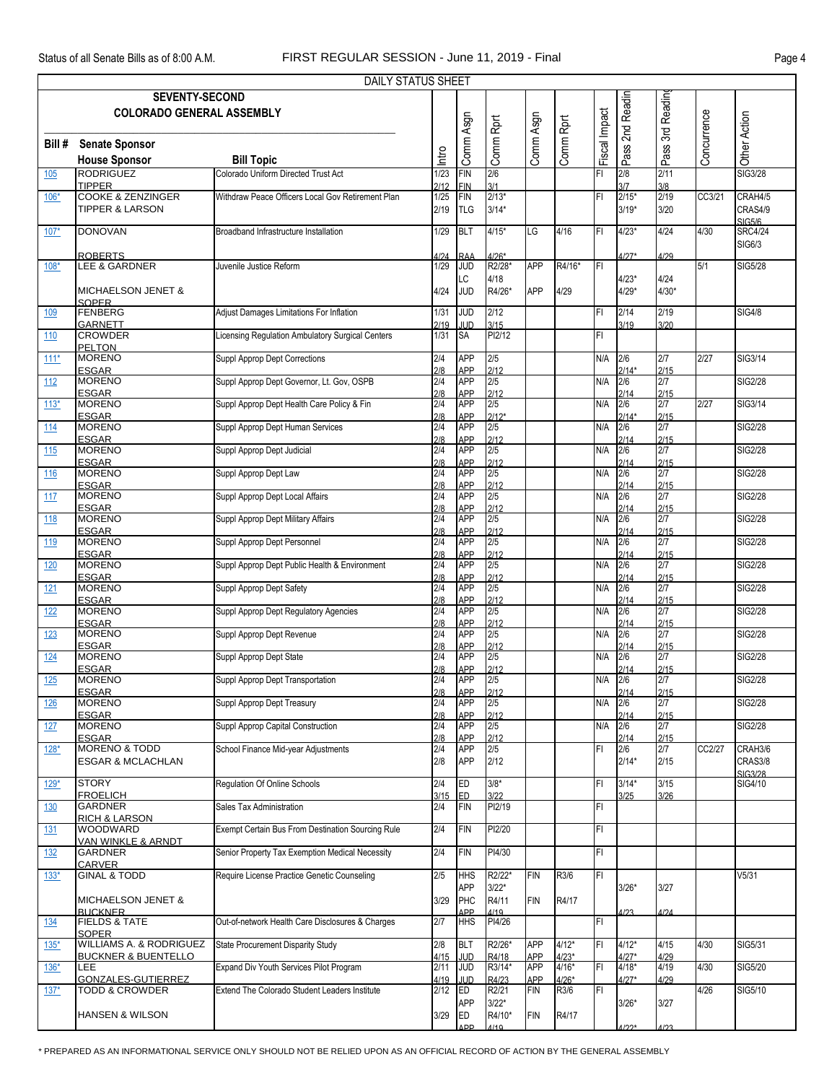|            |                                                                             | DAILY STATUS SHEET                                |                      |                                        |                    |                   |                    |               |                          |                          |             |                                           |
|------------|-----------------------------------------------------------------------------|---------------------------------------------------|----------------------|----------------------------------------|--------------------|-------------------|--------------------|---------------|--------------------------|--------------------------|-------------|-------------------------------------------|
|            | <b>SEVENTY-SECOND</b><br><b>COLORADO GENERAL ASSEMBLY</b>                   |                                                   |                      |                                        |                    |                   |                    |               | 2nd Readin               | 3rd Reading              |             |                                           |
| Bill #     | <b>Senate Sponsor</b><br><b>House Sponsor</b>                               | <b>Bill Topic</b>                                 | Intro                | Comm Asgn                              | Comm Rprt          | Comm Asgn         | Comm Rprt          | Fiscal Impact | Pass'                    | Pass <sup>?</sup>        | Concurrence | Other Action                              |
| 105        | <b>RODRIGUEZ</b>                                                            | Colorado Uniform Directed Trust Act               | 1/23                 | <b>FIN</b>                             | 2/6<br>3/1         |                   |                    | FI            | 2/8<br>3/7               | 2/11                     |             | <b>SIG3/28</b>                            |
| $106*$     | <b>TIPPER</b><br><b>COOKE &amp; ZENZINGER</b><br><b>TIPPER &amp; LARSON</b> | Withdraw Peace Officers Local Gov Retirement Plan | 2112<br>1/25<br>2/19 | <b>FIN</b><br><b>FIN</b><br><b>TLG</b> | $2/13*$<br>$3/14*$ |                   |                    | FI            | $2/15*$<br>$3/19*$       | 3/8<br>2/19<br>3/20      | CC3/21      | CRAH4/5<br>CRAS4/9                        |
| $107*$     | <b>DONOVAN</b>                                                              | Broadband Infrastructure Installation             | 1/29                 | BLT                                    | $4/15*$            | LG                | 4/16               | FI            | $4/23*$                  | 4/24                     | 4/30        | <b>SIG5/6</b><br><b>SRC4/24</b><br>SIG6/3 |
| $108*$     | <b>ROBERTS</b><br><b>LEE &amp; GARDNER</b>                                  | Juvenile Justice Reform                           | 4/24<br>1/29         | <b>RAA</b><br><b>JUD</b>               | $4/26*$<br>R2/28*  | <b>APP</b>        | R4/16*             | IFI           | $4/27*$                  | 4/29                     | 5/1         | <b>SIG5/28</b>                            |
|            | <b>MICHAELSON JENET &amp;</b><br><b>SOPER</b>                               |                                                   | 4/24                 | LC<br><b>JUD</b>                       | 4/18<br>R4/26*     | <b>APP</b>        | 4/29               |               | $4/23*$<br>$4/29*$       | 4/24<br>$4/30*$          |             |                                           |
| 109        | <b>FENBERG</b><br><b>GARNETT</b>                                            | Adjust Damages Limitations For Inflation          | 1/31<br>2/19         | <b>JUD</b><br><b>JUD</b>               | 2/12<br>3/15       |                   |                    | FI            | 2/14<br>3/19             | 2/19<br>3/20             |             | <b>SIG4/8</b>                             |
| 110        | <b>CROWDER</b><br><b>PELTON</b>                                             | Licensing Regulation Ambulatory Surgical Centers  | 1/31                 | <b>SA</b>                              | PI2/12             |                   |                    | FI            |                          |                          |             |                                           |
| $111*$     | <b>MORENO</b><br><b>ESGAR</b>                                               | Suppl Approp Dept Corrections                     | 2/4<br>2/8           | <b>APP</b><br><b>APP</b>               | 2/5<br>2/12        |                   |                    | N/A           | 2/6<br>$2/14*$           | 2/7<br>2/15              | 2/27        | SIG3/14                                   |
| 112        | <b>MORENO</b><br><b>ESGAR</b>                                               | Suppl Approp Dept Governor, Lt. Gov, OSPB         | 2/4<br>2/8           | <b>APP</b><br><b>APP</b>               | 2/5<br>2/12        |                   |                    | N/A           | 2/6<br>2/14              | 2/7<br>2/15              |             | <b>SIG2/28</b>                            |
| $113*$     | <b>MORENO</b><br><b>ESGAR</b>                                               | Suppl Approp Dept Health Care Policy & Fin        | 2/4<br>2/8           | <b>APP</b><br>APP                      | 2/5<br>$2/12*$     |                   |                    | N/A           | 2/6<br>$2/14*$           | $\overline{2/7}$<br>2/15 | 2/27        | SIG3/14                                   |
| 114        | <b>MORENO</b><br><b>ESGAR</b>                                               | Suppl Approp Dept Human Services                  | 2/4<br>2/8           | <b>APP</b>                             | 2/5<br>2/12        |                   |                    | N/A           | 2/6<br>2/14              | 2/7<br>2/15              |             | <b>SIG2/28</b>                            |
| <b>115</b> | <b>MORENO</b>                                                               | Suppl Approp Dept Judicial                        | 2/4                  | <b>APP</b><br><b>APP</b>               | 2/5<br>2/12        |                   |                    | N/A           | 2/6                      | 2/7                      |             | <b>SIG2/28</b>                            |
| <u>116</u> | <b>ESGAR</b><br><b>MORENO</b>                                               | Suppl Approp Dept Law                             | 2/8<br>2/4           | <b>APP</b><br><b>APP</b>               | 2/5                |                   |                    | N/A           | 2/14<br>$\overline{2/6}$ | 2/15<br>2/7              |             | <b>SIG2/28</b>                            |
| 117        | <b>ESGAR</b><br><b>MORENO</b>                                               | Suppl Approp Dept Local Affairs                   | 2/8<br>2/4           | <b>APP</b><br><b>APP</b>               | 2/12<br>2/5        |                   |                    | N/A           | 2/14<br>2/6              | 2/15<br>2/7              |             | <b>SIG2/28</b>                            |
| 118        | <b>ESGAR</b><br><b>MORENO</b>                                               | Suppl Approp Dept Military Affairs                | 2/8<br>2/4           | <b>APP</b><br><b>APP</b>               | 2/12<br>2/5        |                   |                    | N/A           | 2/14<br>2/6              | 2/15<br>$\overline{2/7}$ |             | <b>SIG2/28</b>                            |
| 119        | <b>ESGAR</b><br><b>MORENO</b>                                               | Suppl Approp Dept Personnel                       | 2/8<br>2/4           | <b>APP</b><br><b>APP</b>               | 2/12<br>2/5        |                   |                    | N/A           | 2/14<br>2/6              | 2/15<br>2/7              |             | <b>SIG2/28</b>                            |
| 120        | <b>ESGAR</b><br><b>MORENO</b>                                               | Suppl Approp Dept Public Health & Environment     | 2/8<br>2/4           | <b>APP</b><br><b>APP</b>               | 2/12<br>2/5        |                   |                    | N/A           | 2/14<br>2/6              | 2/15<br>2/7              |             | <b>SIG2/28</b>                            |
| 121        | <b>ESGAR</b><br><b>MORENO</b>                                               | Suppl Approp Dept Safety                          | 2/8<br>2/4           | <b>APP</b><br><b>APP</b>               | 2/12<br>2/5        |                   |                    | N/A           | 2/14<br>2/6              | 2/15<br>2/7              |             | <b>SIG2/28</b>                            |
| 122        | <b>ESGAR</b><br><b>MORENO</b>                                               | Suppl Approp Dept Regulatory Agencies             | 2/8<br>2/4           | APP<br><b>APP</b>                      | 2/12<br>2/5        |                   |                    | N/A           | 2114<br>2/6              | 2/15<br>2/7              |             | <b>SIG2/28</b>                            |
| 123        | <b>ESGAR</b><br><b>MORENO</b>                                               | Suppl Approp Dept Revenue                         | 2/8<br>2/4           | <b>APP</b><br><b>APP</b>               | 2/12<br>2/5        |                   |                    | N/A           | 2/14<br>2/6              | 2/15<br>2/7              |             | <b>SIG2/28</b>                            |
| 124        | <b>ESGAR</b><br><b>MORENO</b>                                               | Suppl Approp Dept State                           | 2/8<br>2/4           | <b>APP</b><br><b>APP</b>               | 2/12<br>2/5        |                   |                    | N/A           | 2/14<br>2/6              | 2/15<br>2/7              |             | <b>SIG2/28</b>                            |
| 125        | <b>ESGAR</b><br><b>MORENO</b>                                               | Suppl Approp Dept Transportation                  | 2/8<br>2/4           | <b>APP</b><br><b>APP</b>               | 2/12<br>2/5        |                   |                    | N/A           | 2/14<br>2/6              | 2/15<br>2/7              |             | <b>SIG2/28</b>                            |
| 126        | <b>ESGAR</b><br><b>MORENO</b>                                               | Suppl Approp Dept Treasury                        | 2/8<br>2/4           | <b>APP</b><br><b>APP</b>               | 2/12<br>2/5        |                   |                    | N/A           | 2/14<br>2/6              | 2/15<br>2/7              |             | <b>SIG2/28</b>                            |
| 127        | <b>ESGAR</b><br><b>MORENO</b>                                               | Suppl Approp Capital Construction                 | 2/8<br>2/4           | <b>APP</b><br><b>APP</b>               | 2/12<br>2/5        |                   |                    | N/A           | 2/14<br>2/6              | 2/15<br>2/7              |             | <b>SIG2/28</b>                            |
| $128*$     | <b>ESGAR</b><br><b>MORENO &amp; TODD</b>                                    | School Finance Mid-year Adjustments               | 2/8<br>2/4           | <b>APP</b><br>APP                      | 2/12<br>2/5        |                   |                    | FI            | 2/14<br>2/6              | 2/15<br>2/7              | CC2/27      | CRAH3/6                                   |
|            | <b>ESGAR &amp; MCLACHLAN</b>                                                |                                                   | $2/8$                | APP                                    | 2/12               |                   |                    |               | $2/14*$                  | 2/15                     |             | CRAS3/8<br><b>SIG3/28</b>                 |
| $129*$     | <b>STORY</b><br><b>FROELICH</b>                                             | Regulation Of Online Schools                      | 2/4<br>3/15          | ED<br><b>IED</b>                       | $3/8*$<br>3/22     |                   |                    | FI            | $3/14*$<br>3/25          | 3/15<br>3/26             |             | <b>SIG4/10</b>                            |
| 130        | <b>GARDNER</b><br><b>RICH &amp; LARSON</b>                                  | Sales Tax Administration                          | 2/4                  | FIN                                    | PI2/19             |                   |                    | FI            |                          |                          |             |                                           |
| 131        | WOODWARD<br><b>VAN WINKLE &amp; ARNDT</b>                                   | Exempt Certain Bus From Destination Sourcing Rule | 2/4                  | FIN                                    | PI2/20             |                   |                    | FI            |                          |                          |             |                                           |
| <u>132</u> | <b>GARDNER</b><br><b>CARVER</b>                                             | Senior Property Tax Exemption Medical Necessity   | 2/4                  | FIN                                    | PI4/30             |                   |                    | FI            |                          |                          |             |                                           |
| $133*$     | <b>GINAL &amp; TODD</b>                                                     | Require License Practice Genetic Counseling       | 2/5                  | <b>HHS</b><br>APP                      | R2/22*<br>$3/22*$  | <b>FIN</b>        | R3/6               | FI            | $3/26*$                  | 3/27                     |             | V5/31                                     |
|            | <b>MICHAELSON JENET &amp;</b>                                               |                                                   | 3/29                 | PHC                                    | R4/11              | <b>FIN</b>        | R4/17              |               |                          |                          |             |                                           |
| <u>134</u> | <b>BUCKNER</b><br><b>FIELDS &amp; TATE</b>                                  | Out-of-network Health Care Disclosures & Charges  | 2/7                  | ΔDD<br><b>HHS</b>                      | 1/10<br>PI4/26     |                   |                    | FI            | 123                      | A12A                     |             |                                           |
| $135*$     | <b>SOPER</b><br>WILLIAMS A. & RODRIGUEZ                                     | <b>State Procurement Disparity Study</b>          | 2/8                  | <b>BLT</b>                             | R2/26*             | <b>APP</b>        | $4/12*$            | İΕΙ           | $4/12*$                  | 4/15                     | 4/30        | SIG5/31                                   |
| $136*$     | <b>BUCKNER &amp; BUENTELLO</b><br>LEE                                       | Expand Div Youth Services Pilot Program           | 4/15<br>2/11         | <b>JUD</b><br><b>ADD</b>               | R4/18<br>R3/14*    | APP<br>APP        | $4/23*$<br>$4/16*$ | IF۱           | $4/27*$<br>$4/18*$       | 4/29<br>4/19             | 4/30        | SIG5/20                                   |
| $137*$     | <b>GONZALES-GUTIERREZ</b><br><b>TODD &amp; CROWDER</b>                      | Extend The Colorado Student Leaders Institute     | 4/19<br>2/12         | <b>JUD</b><br>ED                       | R4/23<br>R2/21     | APP<br><b>FIN</b> | $4/26*$<br>R3/6    | IFI.          | $4/27*$                  | 4/29                     | 4/26        | SIG5/10                                   |
|            | <b>HANSEN &amp; WILSON</b>                                                  |                                                   | 3/29                 | <b>APP</b><br>ED                       | $3/22*$<br>R4/10*  | <b>FIN</b>        | R4/17              |               | $3/26*$                  | 3/27                     |             |                                           |
|            |                                                                             |                                                   |                      | ΔDD                                    | A/10               |                   |                    |               | $4/22*$                  | <b>A123</b>              |             |                                           |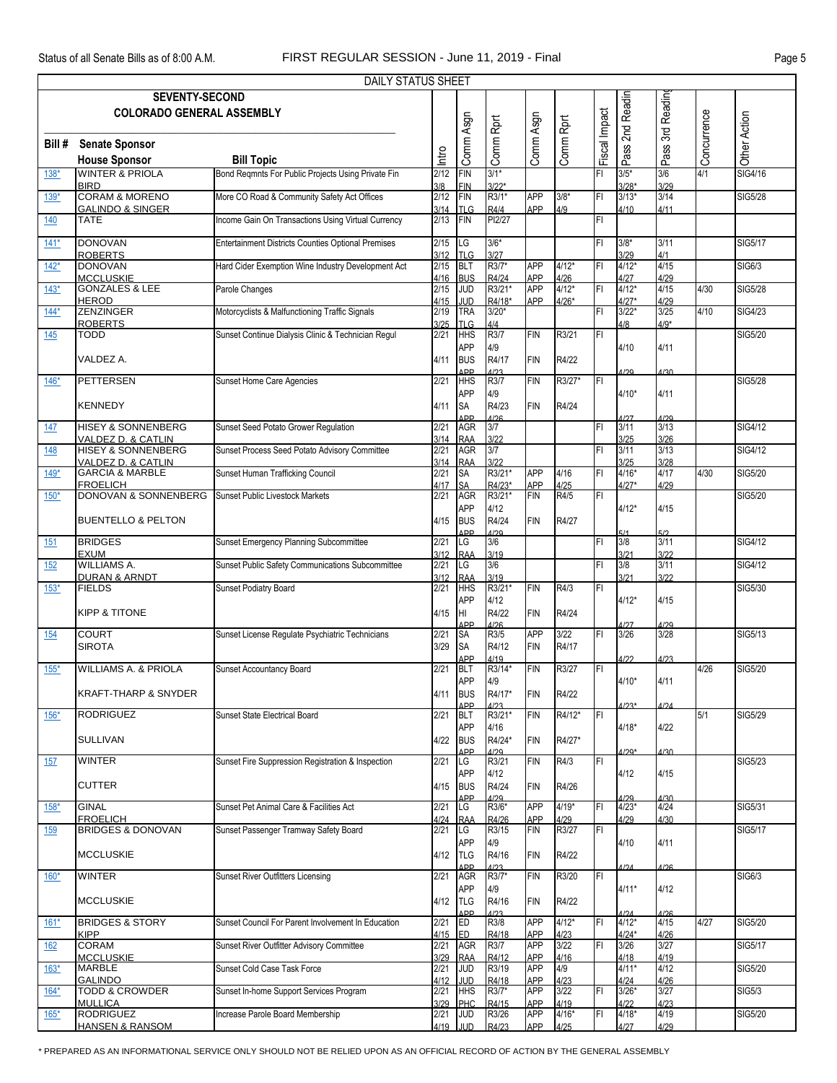|            |                                                                | DAILY STATUS SHEET                                        |              |                                 |                       |                          |                 |                         |                            |                      |              |                |
|------------|----------------------------------------------------------------|-----------------------------------------------------------|--------------|---------------------------------|-----------------------|--------------------------|-----------------|-------------------------|----------------------------|----------------------|--------------|----------------|
|            | <b>SEVENTY-SECOND</b><br><b>COLORADO GENERAL ASSEMBLY</b>      |                                                           |              |                                 |                       |                          |                 |                         | 2nd Readin                 | 3rd Reading          |              |                |
| Bill #     | <b>Senate Sponsor</b><br><b>House Sponsor</b>                  | <b>Bill Topic</b>                                         | Intro        | Comm Asgn                       | Comm Rprt             | Comm Asgn                | Comm Rprt       | Fiscal Impact           | Pass:                      | Pass <sup>:</sup>    | AConcurrence | Other Action   |
| $138*$     | <b>WINTER &amp; PRIOLA</b>                                     | Bond Regmnts For Public Projects Using Private Fin        | 2/12         | <b>FIN</b>                      | $3/1*$                |                          |                 | FI                      | $3/5*$                     | 3/6                  |              | SIG4/16        |
| $139*$     | <b>BIRD</b><br>CORAM & MORENO                                  | More CO Road & Community Safety Act Offices               | 3/8<br>2/12  | <b>FIN</b><br><b>FIN</b>        | $3/22*$<br>R3/1*      | <b>APP</b>               | $3/8*$          | FI                      | $3/28*$<br>$3/13*$         | 3/29<br>$3/14$       |              | <b>SIG5/28</b> |
| 140        | <b>GALINDO &amp; SINGER</b><br><b>TATE</b>                     | Income Gain On Transactions Using Virtual Currency        | 3/14<br>2/13 | <b>TLG</b><br><b>FIN</b>        | R4/4<br>PI2/27        | APP                      | 4/9             | FI                      | 4/10                       | 4/11                 |              |                |
| $141*$     | <b>DONOVAN</b>                                                 | <b>Entertainment Districts Counties Optional Premises</b> | 2/15         | LG                              | $3/6*$                |                          |                 | FI                      | $3/8*$                     | 3/11                 |              | <b>SIG5/17</b> |
| $142*$     | <b>ROBERTS</b><br><b>DONOVAN</b>                               | Hard Cider Exemption Wine Industry Development Act        | 3/12<br>2/15 | <b>TLG</b><br><b>BLT</b>        | 3/27<br>R3/7*         | <b>APP</b>               | $4/12*$         | FI                      | 3/29<br>$4/12*$            | 4/1<br>4/15          |              | <b>SIG6/3</b>  |
| $143*$     | <b>MCCLUSKIE</b><br><b>GONZALES &amp; LEE</b>                  | Parole Changes                                            | 4/16<br>2/15 | <b>BUS</b><br><b>JUD</b>        | R4/24<br>R3/21*       | <b>APP</b><br><b>APP</b> | 4/26<br>$4/12*$ | FI                      | 4/27<br>$4/12*$            | 4/29<br>4/15         | 4/30         | <b>SIG5/28</b> |
| $144*$     | <b>HEROD</b><br><b>ZENZINGER</b>                               | Motorcyclists & Malfunctioning Traffic Signals            | 4/15<br>2/19 | JUD<br><b>TRA</b>               | R4/18*<br>$3/20*$     | APP                      | $4/26*$         | FI                      | $4/27*$<br>$3/22*$         | 4/29<br>3/25         | 4/10         | <b>SIG4/23</b> |
|            | <b>ROBERTS</b><br><b>TODD</b>                                  | Sunset Continue Dialysis Clinic & Technician Regul        | 3/25<br>2/21 | <b>TLG</b>                      | 4/4<br>R3/7           | <b>FIN</b>               |                 |                         | 4/8                        | $4/9*$               |              | <b>SIG5/20</b> |
| 145        |                                                                |                                                           |              | <b>HHS</b><br><b>APP</b>        | 4/9                   |                          | R3/21           | FI                      | 4/10                       | 4/11                 |              |                |
|            | VALDEZ A.<br><b>PETTERSEN</b>                                  |                                                           | 4/11<br>2/21 | <b>BUS</b><br>ΔDD<br><b>HHS</b> | R4/17<br>1123<br>R3/7 | <b>FIN</b><br><b>FIN</b> | R4/22<br>R3/27* | İΕΙ                     | 1/20                       | 4/30                 |              | <b>SIG5/28</b> |
| $146*$     |                                                                | Sunset Home Care Agencies                                 |              | <b>APP</b>                      | 4/9                   |                          |                 |                         | $4/10*$                    | 4/11                 |              |                |
|            | <b>KENNEDY</b>                                                 |                                                           | 4/11         | <b>SA</b><br>ΔDD                | R4/23<br>A126         | <b>FIN</b>               | R4/24           |                         | 1/27                       | A/2Q                 |              |                |
| 147        | <b>HISEY &amp; SONNENBERG</b><br>VALDEZ D. & CATLIN            | Sunset Seed Potato Grower Regulation                      | 2/21<br>3/14 | <b>AGR</b><br><b>RAA</b>        | 3/7<br>3/22           |                          |                 | FI                      | 3/11<br>3/25               | 3/13<br>3/26         |              | SIG4/12        |
| 148        | <b>HISEY &amp; SONNENBERG</b><br><b>VALDEZ D. &amp; CATLIN</b> | Sunset Process Seed Potato Advisory Committee             | 2/21<br>3/14 | <b>AGR</b><br><b>RAA</b>        | 3/7<br>3/22           |                          |                 | FI                      | 3/11<br>3/25               | 3/13<br>3/28         |              | SIG4/12        |
| $149*$     | <b>GARCIA &amp; MARBLE</b><br><b>FROELICH</b>                  | Sunset Human Trafficking Council                          | 2/21<br>4/17 | SA<br>SA                        | R3/21*<br>R4/23*      | <b>APP</b><br><b>APP</b> | 4/16<br>4/25    | FI                      | $4/16*$<br>$4/27*$         | 4/17<br>4/29         | 4/30         | <b>SIG5/20</b> |
| $150*$     | <b>DONOVAN &amp; SONNENBERG</b>                                | <b>Sunset Public Livestock Markets</b>                    | 2/21         | <b>AGR</b><br><b>APP</b>        | R3/21*<br>4/12        | <b>FIN</b>               | R4/5            | FI                      | $4/12*$                    | 4/15                 |              | SIG5/20        |
|            | <b>BUENTELLO &amp; PELTON</b>                                  |                                                           | 4/15         | <b>BUS</b><br>ΔDD               | R4/24<br>1/20         | <b>FIN</b>               | R4/27           |                         | 5/1                        | 5/2                  |              |                |
| 151        | <b>BRIDGES</b><br><b>EXUM</b>                                  | Sunset Emergency Planning Subcommittee                    | 2/21<br>3/12 | LG<br><b>RAA</b>                | 3/6<br>3/19           |                          |                 | FI                      | 3/8<br>3/21                | 3/11<br>3/22         |              | SIG4/12        |
| 152        | WILLIAMS A.<br><b>DURAN &amp; ARNDT</b>                        | Sunset Public Safety Communications Subcommittee          | 2/21<br>3/12 | LG<br><b>RAA</b>                | 3/6<br>3/19           |                          |                 | FI                      | 3/8<br>3/21                | 3/11<br>3/22         |              | <b>SIG4/12</b> |
| $153*$     | <b>FIELDS</b>                                                  | Sunset Podiatry Board                                     | 2/21         | <b>HHS</b><br><b>APP</b>        | R3/21*<br>4/12        | <b>FIN</b>               | R4/3            | FI                      | $4/12*$                    |                      |              | SIG5/30        |
|            | <b>KIPP &amp; TITONE</b>                                       |                                                           | 4/15         | Iнг                             | R4/22                 | <b>FIN</b>               | R4/24           |                         |                            | 4/15                 |              |                |
| 154        | <b>COURT</b>                                                   | Sunset License Regulate Psychiatric Technicians           | 2/21         | ΔPP<br><b>SA</b>                | ۱۱۵۵<br>R3/5          | <b>APP</b>               | 3/22            | FI                      | A197<br>3/26               | 1129<br>3/28         |              | SIG5/13        |
|            | <b>SIROTA</b>                                                  |                                                           | 3/29         | <b>SA</b><br>APP                | R4/12<br>4/19         | <b>FIN</b>               | R4/17           |                         | 4/22                       | 4/23                 |              |                |
| $155*$     | <b>WILLIAMS A. &amp; PRIOLA</b>                                | Sunset Accountancy Board                                  | 2/21         | <b>BLT</b><br><b>APP</b>        | R3/14*<br>4/9         | <b>FIN</b>               | R3/27           | FL                      | $4/10*$                    | 4/11                 | 4/26         | <b>SIG5/20</b> |
|            | <b>KRAFT-THARP &amp; SNYDER</b>                                |                                                           | 4/11         | <b>BUS</b><br>ΔDΡ               | R4/17*                | <b>FIN</b>               | R4/22           |                         | 1/23*                      | 1/21                 |              |                |
| $156*$     | <b>RODRIGUEZ</b>                                               | Sunset State Electrical Board                             | 2/21         | <b>BLT</b><br><b>APP</b>        | R3/21*<br>4/16        | <b>FIN</b>               | R4/12*          | FL                      | $4/18*$                    | 4/22                 | 5/1          | SIG5/29        |
|            | <b>SULLIVAN</b>                                                |                                                           | 4/22         | <b>BUS</b><br>ΔDD               | R4/24*<br>1/29        | <b>FIN</b>               | R4/27*          |                         | $1/20*$                    | <b>A/30</b>          |              |                |
| 157        | <b>WINTER</b>                                                  | Sunset Fire Suppression Registration & Inspection         | 2/21         | LG<br><b>APP</b>                | R3/21<br>4/12         | <b>FIN</b>               | R4/3            | FI.                     | 4/12                       | 4/15                 |              | SIG5/23        |
|            | <b>CUTTER</b>                                                  |                                                           | 4/15         | <b>BUS</b><br><b>ADD</b>        | R4/24<br>1/29         | <b>FIN</b>               | R4/26           |                         | 1/20                       | $\Delta/30$          |              |                |
| $158*$     | <b>GINAL</b><br><b>FROELICH</b>                                | Sunset Pet Animal Care & Facilities Act                   | 2/21<br>4/24 | LG<br><b>RAA</b>                | R3/6*<br>R4/26        | <b>APP</b><br><b>APP</b> | $4/19*$<br>4/29 | FI                      | $4/23*$<br>4/29            | 4/24<br>4/30         |              | SIG5/31        |
| <u>159</u> | <b>BRIDGES &amp; DONOVAN</b>                                   | Sunset Passenger Tramway Safety Board                     | 2/21         | LG<br><b>APP</b>                | R3/15<br>4/9          | <b>FIN</b>               | R3/27           | $\overline{\mathbb{F}}$ | 4/10                       | 4/11                 |              | <b>SIG5/17</b> |
|            | <b>MCCLUSKIE</b>                                               |                                                           | 4/12         | <b>TLG</b>                      | R4/16                 | <b>FIN</b>               | R4/22           |                         |                            |                      |              |                |
| $160*$     | <b>WINTER</b>                                                  | <b>Sunset River Outfitters Licensing</b>                  | 2/21         | <b>ADD</b><br><b>AGR</b>        | 1/23<br>R3/7*         | <b>FIN</b>               | R3/20           | F                       | 124                        | A/26                 |              | SIG6/3         |
|            | <b>MCCLUSKIE</b>                                               |                                                           | 4/12         | <b>APP</b><br><b>TLG</b>        | 4/9<br>R4/16          | <b>FIN</b>               | R4/22           |                         | $4/11*$                    | 4/12                 |              |                |
| $161*$     | <b>BRIDGES &amp; STORY</b><br><b>KIPP</b>                      | Sunset Council For Parent Involvement In Education        | 2/21<br>4/15 | <b>ADD</b><br>ED<br><b>ED</b>   | 1/23<br>R3/8<br>R4/18 | <b>APP</b><br>APP        | $4/12*$<br>4/23 | FI                      | 1/24<br>$4/12*$<br>$4/24*$ | A126<br>4/15<br>4/26 | 4/27         | SIG5/20        |
| 162        | <b>CORAM</b>                                                   | Sunset River Outfitter Advisory Committee                 | 2/21         | <b>AGR</b>                      | R3/7                  | <b>APP</b>               | 3/22            | FI.                     | 3/26                       | 3/27                 |              | <b>SIG5/17</b> |
| $163*$     | <b>MCCLUSKIE</b><br><b>MARBLE</b>                              | Sunset Cold Case Task Force                               | 3/29<br>2/21 | <b>RAA</b><br><b>JUD</b>        | R4/12<br>R3/19        | APP<br><b>APP</b>        | 4/16<br>4/9     |                         | 4/18<br>$4/11*$            | 4/19<br>4/12         |              | <b>SIG5/20</b> |
| $164*$     | <b>GALINDO</b><br><b>TODD &amp; CROWDER</b>                    | Sunset In-home Support Services Program                   | 4/12<br>2/21 | <b>JUD</b><br><b>HHS</b>        | R4/18<br>R3/7*        | <b>APP</b><br><b>APP</b> | 4/23<br>3/22    | FI                      | 4/24<br>$3/26*$            | 4/26<br>3/27         |              | <b>SIG5/3</b>  |
| $165*$     | <b>MULLICA</b><br><b>RODRIGUEZ</b>                             | Increase Parole Board Membership                          | 3/29<br>2/21 | PHC<br><b>JUD</b>               | R4/15<br>R3/26        | APP<br><b>APP</b>        | 4/19<br>$4/16*$ | İΕΙ                     | 4/22<br>$4/18*$            | 4/23<br>4/19         |              | <b>SIG5/20</b> |
|            | <b>HANSEN &amp; RANSOM</b>                                     |                                                           |              | 4/19 JUD                        | R4/23                 | <b>APP</b>               | 4/25            |                         | 4/27                       | 4/29                 |              |                |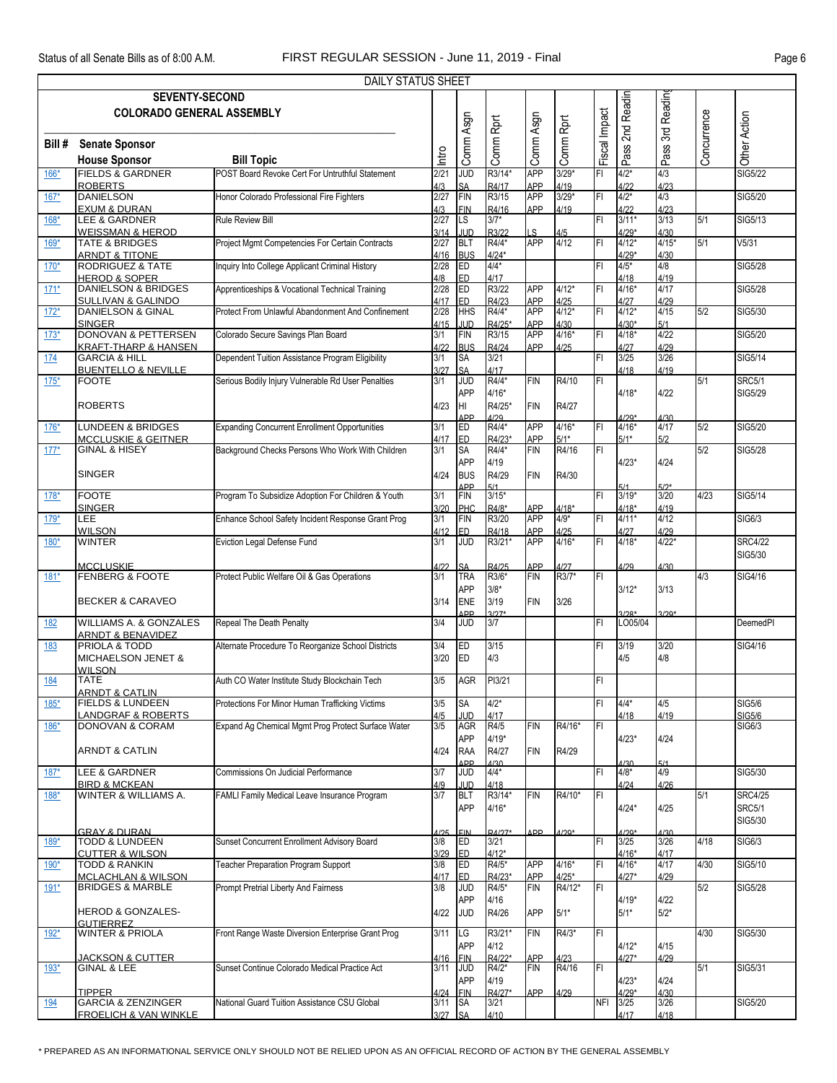|            |                                                                   | DAILY STATUS SHEET                                                   |              |                               |                       |                          |                    |               |                    |                 |             |                                |
|------------|-------------------------------------------------------------------|----------------------------------------------------------------------|--------------|-------------------------------|-----------------------|--------------------------|--------------------|---------------|--------------------|-----------------|-------------|--------------------------------|
|            | <b>SEVENTY-SECOND</b>                                             |                                                                      |              |                               |                       |                          |                    |               | 2nd Readin         | 3rd Readin      |             |                                |
|            | <b>COLORADO GENERAL ASSEMBLY</b>                                  |                                                                      |              |                               |                       |                          |                    | Fiscal Impact |                    |                 |             |                                |
|            |                                                                   |                                                                      |              |                               |                       |                          |                    |               |                    |                 |             |                                |
| Bill #     | <b>Senate Sponsor</b>                                             |                                                                      | ntro         | Comm Asgn                     | Comm Rprt             | Comm Asgn                | Comm Rprt          |               | Pass <sup>'</sup>  | Pass:           | Concurrence | Other Action                   |
| 166*       | <b>House Sponsor</b><br><b>FIELDS &amp; GARDNER</b>               | <b>Bill Topic</b><br>POST Board Revoke Cert For Untruthful Statement | 2/21         | <b>JUD</b>                    | R3/14*                | <b>APP</b>               | $3/29*$            | FI            | $4/2*$             | 4/3             |             | <b>SIG5/22</b>                 |
|            | <b>ROBERTS</b>                                                    |                                                                      | 4/3          | <b>SA</b>                     | R4/17                 | <b>APP</b>               | 4/19               |               | 4/22               | 4/23            |             |                                |
| $167*$     | <b>DANIELSON</b><br><b>EXUM &amp; DURAN</b>                       | Honor Colorado Professional Fire Fighters                            | 2/27<br>4/3  | <b>FIN</b><br><b>FIN</b>      | R3/15<br>R4/16        | <b>APP</b><br>APP        | $3/29*$<br>4/19    | FI            | $4/2*$<br>4/22     | 4/3<br>4/23     |             | SIG5/20                        |
| $168*$     | LEE & GARDNER                                                     | <b>Rule Review Bill</b>                                              | 2/27         | LS                            | $3/7*$                |                          |                    | FI            | $3/11*$            | 3/13            | 5/1         | SIG5/13                        |
| $169*$     | <b>WEISSMAN &amp; HEROD</b><br><b>TATE &amp; BRIDGES</b>          | Project Mgmt Competencies For Certain Contracts                      | 3/14<br>2/27 | <b>JUD</b><br><b>BLT</b>      | R3/22<br>R4/4*        | LS<br><b>APP</b>         | 4/5<br>4/12        | İΕΙ           | $4/29*$<br>$4/12*$ | 4/30<br>$4/15*$ | 5/1         | V <sub>5/31</sub>              |
|            | <b>ARNDT &amp; TITONE</b>                                         |                                                                      | 4/16         | <b>BUS</b>                    | $4/24*$               |                          |                    |               | $4/29*$            | 4/30            |             |                                |
| $170*$     | <b>RODRIGUEZ &amp; TATE</b><br><b>HEROD &amp; SOPER</b>           | Inquiry Into College Applicant Criminal History                      | 2/28<br>4/8  | ED<br><b>ED</b>               | $4/4*$<br>4/17        |                          |                    | FI            | $4/5*$<br>4/18     | 4/8<br>4/19     |             | <b>SIG5/28</b>                 |
| $171*$     | <b>DANIELSON &amp; BRIDGES</b>                                    | Apprenticeships & Vocational Technical Training                      | 2/28         | ED                            | R3/22                 | <b>APP</b>               | $4/12*$            | FI            | $4/16*$            | 4/17            |             | <b>SIG5/28</b>                 |
| $172*$     | <b>SULLIVAN &amp; GALINDO</b><br>DANIELSON & GINAL                | Protect From Unlawful Abandonment And Confinement                    | 4/17<br>2/28 | ED<br><b>HHS</b>              | R4/23<br>R4/4*        | <b>APP</b><br><b>APP</b> | 4/25<br>$4/12*$    | FI            | 4/27<br>$4/12*$    | 4/29<br>4/15    | 5/2         | SIG5/30                        |
|            | <b>SINGER</b>                                                     |                                                                      | 4/15         | <b>JUD</b>                    | R4/25*                | <b>APP</b>               | 4/30               |               | $4/30*$            | 5/1             |             |                                |
| $173*$     | <b>DONOVAN &amp; PETTERSEN</b><br><b>KRAFT-THARP &amp; HANSEN</b> | Colorado Secure Savings Plan Board                                   | 3/1<br>4/22  | FIN<br><b>BUS</b>             | R3/15<br>R4/24        | <b>APP</b><br><b>APP</b> | $4/16*$<br>4/25    | FI            | $4/18*$<br>4/27    | 4/22<br>4/29    |             | SIG5/20                        |
| 174        | <b>GARCIA &amp; HILL</b>                                          | Dependent Tuition Assistance Program Eligibility                     | 3/1          | <b>SA</b>                     | 3/21                  |                          |                    | FI            | 3/25               | 3/26            |             | SIG5/14                        |
| $175*$     | <b>BUENTELLO &amp; NEVILLE</b><br><b>FOOTE</b>                    | Serious Bodily Injury Vulnerable Rd User Penalties                   | 3/27<br>3/1  | <b>SA</b><br><b>JUD</b>       | 4/17<br>R4/4*         | FIN                      | R4/10              | FI            | 4/18               | 4/19            | 5/1         | <b>SRC5/1</b>                  |
|            |                                                                   |                                                                      |              | <b>APP</b>                    | $4/16*$               |                          |                    |               | $4/18*$            | 4/22            |             | SIG5/29                        |
|            | <b>ROBERTS</b>                                                    |                                                                      | 4/23         | HI<br>ΔDD                     | R4/25*<br>1/29        | <b>FIN</b>               | R4/27              |               | $1/2Q*$            | $\Delta$ /30    |             |                                |
| $176*$     | <b>LUNDEEN &amp; BRIDGES</b>                                      | <b>Expanding Concurrent Enrollment Opportunities</b>                 | 3/1          | <b>ED</b>                     | R4/4*                 | <b>APP</b>               | $4/16*$            | FI            | $4/16*$            | 4/17            | 5/2         | SIG5/20                        |
| $177*$     | <b>MCCLUSKIE &amp; GEITNER</b><br><b>GINAL &amp; HISEY</b>        | Background Checks Persons Who Work With Children                     | 4/17<br>3/1  | <b>ED</b><br>SA               | R4/23*<br>R4/4*       | <b>APP</b><br>FIN        | $5/1*$<br>R4/16    | F             | $5/1*$             | 5/2             | 5/2         | SIG5/28                        |
|            |                                                                   |                                                                      |              | <b>APP</b>                    | 4/19                  |                          |                    |               | $4/23*$            | 4/24            |             |                                |
|            | <b>SINGER</b>                                                     |                                                                      | 4/24         | <b>BUS</b><br>ΔD <sub>P</sub> | R4/29<br>5/1          | <b>FIN</b>               | R4/30              |               |                    | 5/2*            |             |                                |
| $178*$     | <b>FOOTE</b>                                                      | Program To Subsidize Adoption For Children & Youth                   | 3/1          | <b>FIN</b>                    | $3/15*$               |                          |                    | FI            | $3/19*$            | 3/20            | 4/23        | SIG5/14                        |
| $179*$     | <b>SINGER</b><br>LEE                                              | Enhance School Safety Incident Response Grant Prog                   | 3/20<br>3/1  | PHC<br>FIN                    | R4/8*<br>R3/20        | <b>APP</b><br><b>APP</b> | $4/18*$<br>$4/9*$  | FI            | $4/18*$<br>$4/11*$ | 4/19<br>4/12    |             | SIG6/3                         |
| $180*$     | <b>WILSON</b><br><b>WINTER</b>                                    | Eviction Legal Defense Fund                                          | 4/12<br>3/1  | ED.<br><b>JUD</b>             | R4/18<br>R3/21*       | <b>APP</b><br><b>APP</b> | 4/25<br>$4/16*$    | FI            | 4/27<br>$4/18*$    | 4/29<br>$4/22*$ |             | <b>SRC4/22</b>                 |
|            |                                                                   |                                                                      |              |                               |                       |                          |                    |               |                    |                 |             | SIG5/30                        |
| $181*$     | <b>MCCLUSKIE</b><br><b>FENBERG &amp; FOOTE</b>                    | Protect Public Welfare Oil & Gas Operations                          | 4122<br>3/1  | <b>SA</b><br><b>TRA</b>       | R4/25<br>R3/6*        | <b>APP</b><br><b>FIN</b> | 4/27<br>R3/7*      | FI            | 4/29               | 4/30            | 4/3         | SIG4/16                        |
|            |                                                                   |                                                                      |              | <b>APP</b>                    | $3/8*$                |                          |                    |               | $3/12*$            | 3/13            |             |                                |
|            | <b>BECKER &amp; CARAVEO</b>                                       |                                                                      | 3/14         | <b>ENE</b>                    | 3/19<br>$3/27*$       | <b>FIN</b>               | 3/26               |               |                    |                 |             |                                |
| 182        | <b>WILLIAMS A. &amp; GONZALES</b>                                 | Repeal The Death Penalty                                             | 3/4          | ΔDD<br><b>JUD</b>             | 3/7                   |                          |                    | FI            | $3/28*$<br>LO05/04 | $3/20*$         |             | DeemedPI                       |
| 183        | <b>ARNDT &amp; BENAVIDEZ</b><br><b>PRIOLA &amp; TODD</b>          | Alternate Procedure To Reorganize School Districts                   | 3/4          | ED                            | 3/15                  |                          |                    | FI            | 3/19               | 3/20            |             | SIG4/16                        |
|            | MICHAELSON JENET &                                                |                                                                      | 3/20         | <b>IED</b>                    | 4/3                   |                          |                    |               | 4/5                | 4/8             |             |                                |
| <u>184</u> | <b>WILSON</b><br><b>TATE</b>                                      | Auth CO Water Institute Study Blockchain Tech                        | 3/5          | AGR                           | PI3/21                |                          |                    | FI            |                    |                 |             |                                |
|            | <b>ARNDT &amp; CATLIN</b>                                         |                                                                      |              |                               |                       |                          |                    |               |                    |                 |             |                                |
| $185*$     | <b>FIELDS &amp; LUNDEEN</b><br><b>LANDGRAF &amp; ROBERTS</b>      | Protections For Minor Human Trafficking Victims                      | 3/5<br>4/5   | <b>SA</b><br>JUD              | $4/2*$<br>4/17        |                          |                    | FI            | $4/4*$<br>4/18     | 4/5<br>4/19     |             | <b>SIG5/6</b><br><b>SIG5/6</b> |
| $186*$     | DONOVAN & CORAM                                                   | Expand Ag Chemical Mgmt Prog Protect Surface Water                   | 3/5          | <b>AGR</b>                    | R4/5                  | <b>FIN</b>               | R4/16*             | lFI           |                    |                 |             | SIG6/3                         |
|            | <b>ARNDT &amp; CATLIN</b>                                         |                                                                      | 4/24         | APP<br>RAA                    | $4/19*$<br>R4/27      | FIN                      | R4/29              |               | $4/23*$            | 4/24            |             |                                |
|            |                                                                   |                                                                      |              | <b>ADD</b>                    | 1/30                  |                          |                    | FI            | 1/30               | 5/1<br>4/9      |             |                                |
| $187*$     | LEE & GARDNER<br><b>BIRD &amp; MCKEAN</b>                         | Commissions On Judicial Performance                                  | 3/7<br>4/9   | <b>JUD</b><br>JUD             | $4/4*$<br>4/18        |                          |                    |               | $4/8*$<br>4/24     | 4/26            |             | SIG5/30                        |
| $188*$     | WINTER & WILLIAMS A.                                              | FAMLI Family Medical Leave Insurance Program                         | 3/7          | <b>BLT</b>                    | R3/14*                | <b>FIN</b>               | R4/10*             | IF۱           |                    |                 | 5/1         | <b>SRC4/25</b>                 |
|            |                                                                   |                                                                      |              | APP                           | $4/16*$               |                          |                    |               | $4/24*$            | 4/25            |             | <b>SRC5/1</b><br>SIG5/30       |
|            | <b>GRAY &amp; DURAN</b><br><b>TODD &amp; LUNDEEN</b>              | Sunset Concurrent Enrollment Advisory Board                          | 1/25<br>3/8  | <b>FIN</b><br><b>ED</b>       | <b>RA/27*</b><br>3/21 | APP                      | $A/2Q*$            | İΕΙ           | $4/29*$<br>3/25    | 1/30<br>3/26    | 4/18        | SIG6/3                         |
| 189*       | <b>CUTTER &amp; WILSON</b>                                        |                                                                      | 3/29         | ED                            | $4/12*$               |                          |                    |               | $4/16*$            | 4/17            |             |                                |
| 190*       | <b>TODD &amp; RANKIN</b>                                          | Teacher Preparation Program Support                                  | 3/8          | ED<br><b>ED</b>               | R4/5*<br>R4/23*       | <b>APP</b><br>APP        | $4/16*$<br>$4/25*$ | FI            | $4/16*$<br>$4/27*$ | 4/17<br>4/29    | 4/30        | SIG5/10                        |
| $191*$     | <b>MCLACHLAN &amp; WILSON</b><br><b>BRIDGES &amp; MARBLE</b>      | Prompt Pretrial Liberty And Fairness                                 | 4/17<br>3/8  | <b>JUD</b>                    | R4/5*                 | <b>FIN</b>               | R4/12*             | FL            |                    |                 | 5/2         | <b>SIG5/28</b>                 |
|            |                                                                   |                                                                      |              | <b>APP</b>                    | 4/16                  |                          |                    |               | $4/19*$            | 4/22            |             |                                |
|            | <b>HEROD &amp; GONZALES-</b><br><b>GUTIFRREZ</b>                  |                                                                      | 4/22         | <b>JUD</b>                    | R4/26                 | <b>APP</b>               | $5/1*$             |               | $5/1*$             | $5/2*$          |             |                                |
| $192*$     | <b>WINTER &amp; PRIOLA</b>                                        | Front Range Waste Diversion Enterprise Grant Prog                    | 3/11         | LG<br><b>APP</b>              | R3/21*<br>4/12        | <b>FIN</b>               | R4/3*              | FI            | $4/12*$            | 4/15            | 4/30        | SIG5/30                        |
|            | <b>JACKSON &amp; CUTTER</b>                                       |                                                                      | 4/16         | <b>FIN</b>                    | R4/22*                | <b>APP</b>               | 4/23               |               | $4/27*$            | 4/29            |             |                                |
| 193*       | GINAL & LEE                                                       | Sunset Continue Colorado Medical Practice Act                        | 3/11         | <b>JUD</b>                    | R4/2*<br>4/19         | <b>FIN</b>               | R4/16              | FI            | $4/23*$            |                 | 5/1         | SIG5/31                        |
|            | <b>TIPPER</b>                                                     |                                                                      | 4/24         | APP<br><b>FIN</b>             | R4/27*                | <b>APP</b>               | 4/29               |               | $4/29*$            | 4/24<br>4/30    |             |                                |
| 194        | <b>GARCIA &amp; ZENZINGER</b><br><b>FROELICH &amp; VAN WINKLE</b> | National Guard Tuition Assistance CSU Global                         | 3/11<br>3/27 | <b>SA</b><br><b>SA</b>        | 3/21<br>4/10          |                          |                    | <b>NFI</b>    | 3/25<br>4/17       | 3/26<br>4/18    |             | <b>SIG5/20</b>                 |
|            |                                                                   |                                                                      |              |                               |                       |                          |                    |               |                    |                 |             |                                |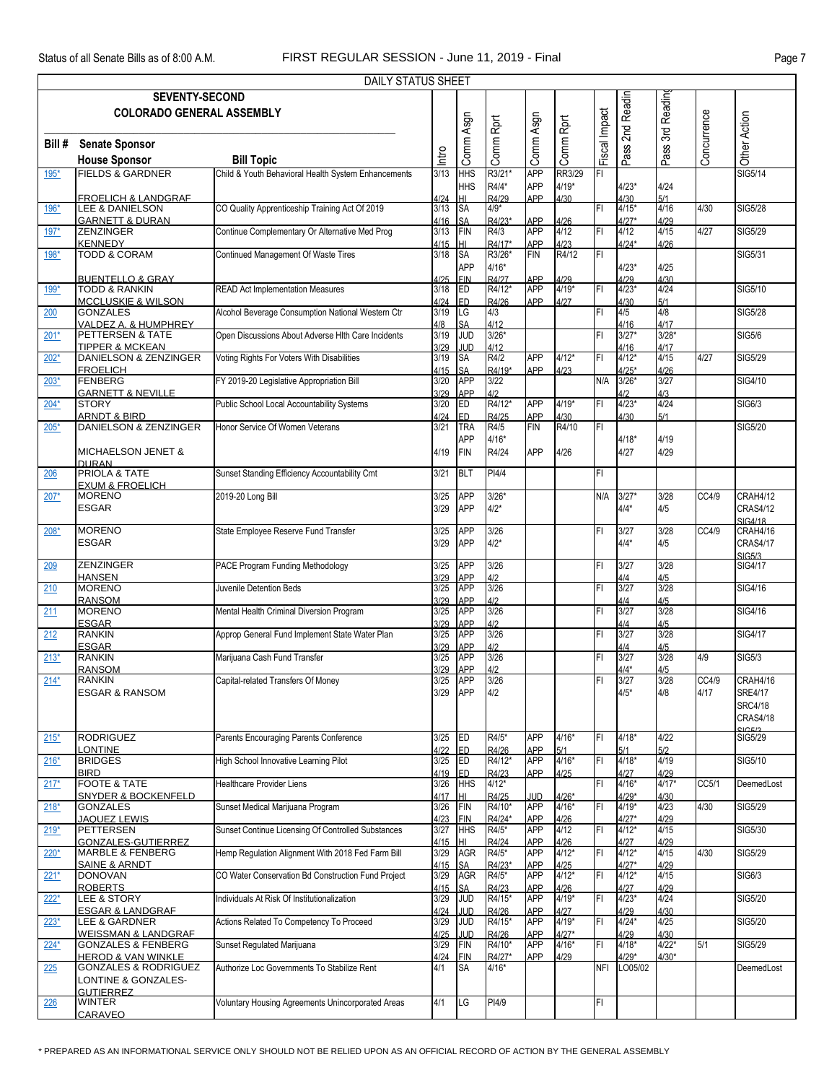|            |                                                              | <b>DAILY STATUS SHEET</b>                           |              |                          |                  |                          |                    |               |                    |                 |             |                                   |
|------------|--------------------------------------------------------------|-----------------------------------------------------|--------------|--------------------------|------------------|--------------------------|--------------------|---------------|--------------------|-----------------|-------------|-----------------------------------|
|            | <b>SEVENTY-SECOND</b>                                        |                                                     |              |                          |                  |                          |                    |               |                    |                 |             |                                   |
|            | <b>COLORADO GENERAL ASSEMBLY</b>                             |                                                     |              |                          |                  |                          |                    | Fiscal Impact | Pass 2nd Readin    | 3rd Readin      | Concurrence |                                   |
| Bill #     | <b>Senate Sponsor</b>                                        |                                                     |              |                          |                  |                          |                    |               |                    |                 |             |                                   |
|            | <b>House Sponsor</b>                                         | <b>Bill Topic</b>                                   | lntro        | Comm Asgn                | Comm Rprt        | Comm Asgn                | Comm Rprt          |               |                    | Pass            |             | Other Action                      |
| 195*       | <b>FIELDS &amp; GARDNER</b>                                  | Child & Youth Behavioral Health System Enhancements | 3/13         | <b>HHS</b>               | R3/21*           | <b>APP</b>               | RR3/29             | FI            |                    |                 |             | <b>SIG5/14</b>                    |
|            |                                                              |                                                     |              | <b>HHS</b>               | R4/4*            | <b>APP</b>               | $4/19*$            |               | $4/23*$            | 4/24            |             |                                   |
| 196*       | <b>FROELICH &amp; LANDGRAF</b><br><b>LEE &amp; DANIELSON</b> | CO Quality Apprenticeship Training Act Of 2019      | 4/24<br>3/13 | HI<br>SA                 | R4/29<br>$4/9*$  | APP                      | 4/30               | FI            | 4/30<br>$4/15*$    | 5/1<br>4/16     | 4/30        | <b>SIG5/28</b>                    |
|            | <b>GARNETT &amp; DURAN</b>                                   |                                                     | 4/16         | <b>SA</b>                | R4/23*           | APP                      | 4/26               |               | $4/27*$            | 4/29            |             |                                   |
| $197*$     | <b>ZENZINGER</b><br><b>KENNEDY</b>                           | Continue Complementary Or Alternative Med Prog      | 3/13<br>4/15 | <b>FIN</b><br>HI         | R4/3<br>R4/17*   | <b>APP</b><br>APP        | 4/12<br>4/23       | İΕΙ           | 4/12<br>$4/24*$    | 4/15<br>4/26    | 4/27        | <b>SIG5/29</b>                    |
| 198*       | <b>TODD &amp; CORAM</b>                                      | Continued Management Of Waste Tires                 | 3/18         | SA                       | R3/26*           | <b>FIN</b>               | R4/12              | FI            |                    |                 |             | SIG5/31                           |
|            |                                                              |                                                     |              | <b>APP</b>               | $4/16*$          |                          |                    |               | $4/23*$            | 4/25            |             |                                   |
| 199*       | <b>BUENTELLO &amp; GRAY</b><br><b>TODD &amp; RANKIN</b>      | <b>READ Act Implementation Measures</b>             | 4/25<br>3/18 | <b>FIN</b><br>ED         | R4/27<br>R4/12*  | APP<br><b>APP</b>        | 4/29<br>$4/19*$    | FI            | 4/29<br>$4/23*$    | 4/30<br>4/24    |             | SIG5/10                           |
|            | <b>MCCLUSKIE &amp; WILSON</b>                                |                                                     | 4/24         | ED                       | R4/26            | APP                      | 4/27               |               | 4/30               | 5/1             |             |                                   |
| 200        | <b>GONZALES</b><br>VALDEZ A. & HUMPHREY                      | Alcohol Beverage Consumption National Western Ctr   | 3/19<br>4/8  | LG<br><b>SA</b>          | 4/3<br>4/12      |                          |                    | FI            | 4/5<br>4/16        | 4/8<br>4/17     |             | <b>SIG5/28</b>                    |
| $201*$     | PETTERSEN & TATE                                             | Open Discussions About Adverse HIth Care Incidents  | 3/19         | <b>JUD</b>               | $3/26*$          |                          |                    | FI            | $3/27*$            | $3/28*$         |             | <b>SIG5/6</b>                     |
| $202*$     | <b>TIPPER &amp; MCKEAN</b><br>DANIELSON & ZENZINGER          | Voting Rights For Voters With Disabilities          | 3/29<br>3/19 | <b>JUD</b><br><b>SA</b>  | 4/12<br>R4/2     | <b>APP</b>               | $4/12*$            | FI            | 4/16<br>$4/12*$    | 4/17<br>4/15    | 4/27        | SIG5/29                           |
|            | <b>FROELICH</b>                                              |                                                     | 4/15         | <b>SA</b>                | R4/19*           | APP                      | 4/23               |               | $4/25*$            | 4/26            |             |                                   |
| $203*$     | FENBERG                                                      | FY 2019-20 Legislative Appropriation Bill           | 3/20         | <b>APP</b>               | 3/22             |                          |                    | N/A           | $3/26*$            | 3/27            |             | SIG4/10                           |
| $204*$     | <b>GARNETT &amp; NEVILLE</b><br><b>STORY</b>                 | <b>Public School Local Accountability Systems</b>   | 3/29<br>3/20 | <b>APP</b><br>Ð          | 4/2<br>R4/12*    | <b>APP</b>               | $4/19*$            | FI            | 4/2<br>$4/23*$     | 4/3<br>4/24     |             | SIG6/3                            |
|            | <b>ARNDT &amp; BIRD</b>                                      |                                                     | 4/24         | ED                       | R4/25            | <b>APP</b>               | 4/30               |               | 4/30               | 5/1             |             |                                   |
| $205*$     | <b>DANIELSON &amp; ZENZINGER</b>                             | Honor Service Of Women Veterans                     | 3/21         | <b>TRA</b><br><b>APP</b> | R4/5<br>$4/16*$  | FIN                      | R4/10              | F             | $4/18*$            | 4/19            |             | SIG5/20                           |
|            | <b>MICHAELSON JENET &amp;</b>                                |                                                     | 4/19         | <b>FIN</b>               | R4/24            | <b>APP</b>               | 4/26               |               | 4/27               | 4/29            |             |                                   |
| 206        | <b>DURAN</b><br><b>PRIOLA &amp; TATE</b>                     | Sunset Standing Efficiency Accountability Cmt       | 3/21         | <b>BLT</b>               | PI4/4            |                          |                    | FI            |                    |                 |             |                                   |
|            | <b>EXUM &amp; FROELICH</b>                                   |                                                     |              |                          |                  |                          |                    |               |                    |                 |             |                                   |
| $207*$     | <b>MORENO</b>                                                | 2019-20 Long Bill                                   | 3/25         | <b>APP</b>               | $3/26*$          |                          |                    | N/A           | $3/27*$            | 3/28            | CC4/9       | <b>CRAH4/12</b>                   |
|            | <b>ESGAR</b>                                                 |                                                     | 3/29         | <b>APP</b>               | $4/2*$           |                          |                    |               | $4/4*$             | 4/5             |             | <b>CRAS4/12</b><br><b>SIG4/18</b> |
| $208*$     | <b>MORENO</b>                                                | State Employee Reserve Fund Transfer                | 3/25         | <b>APP</b>               | 3/26             |                          |                    | FI            | 3/27               | 3/28            | CC4/9       | CRAH4/16                          |
|            | <b>ESGAR</b>                                                 |                                                     | 3/29         | <b>APP</b>               | $4/2*$           |                          |                    |               | $4/4*$             | 4/5             |             | <b>CRAS4/17</b>                   |
| 209        | <b>ZENZINGER</b>                                             | PACE Program Funding Methodology                    | 3/25         | <b>APP</b>               | 3/26             |                          |                    | FI            | 3/27               | 3/28            |             | SIG5/3<br><b>SIG4/17</b>          |
|            | <b>HANSEN</b>                                                |                                                     | 3/29         | <b>APP</b>               | 4/2              |                          |                    |               | 4/4                | 4/5             |             |                                   |
| 210        | <b>MORENO</b><br><b>RANSOM</b>                               | Juvenile Detention Beds                             | 3/25<br>3/29 | <b>APP</b><br><b>APP</b> | 3/26<br>4/2      |                          |                    | FI            | 3/27<br>4/4        | 3/28<br>4/5     |             | SIG4/16                           |
| 211        | <b>MORENO</b>                                                | Mental Health Criminal Diversion Program            | 3/25         | <b>APP</b>               | 3/26             |                          |                    | FI            | 3/27               | 3/28            |             | SIG4/16                           |
| 212        | <b>ESGAR</b><br><b>RANKIN</b>                                | Approp General Fund Implement State Water Plan      | 3/29<br>3/25 | <b>APP</b><br><b>APP</b> | 3/26             |                          |                    | FI            | 4/4<br>3/27        | 3/28            |             | SIG4/17                           |
|            | <b>ESGAR</b>                                                 |                                                     | 3/29         | <b>APP</b>               | 4/2              |                          |                    |               | 4/4                | 4/5             |             |                                   |
| $213*$     | <b>RANKIN</b><br><b>RANSOM</b>                               | Marijuana Cash Fund Transfer                        | 3/25<br>3/29 | <b>APP</b><br><b>APP</b> | 3/26<br>4/2      |                          |                    | FI            | 3/27<br>$4/4*$     | 3/28<br>4/5     | 4/9         | <b>SIG5/3</b>                     |
| $214*$     | <b>RANKIN</b>                                                | Capital-related Transfers Of Money                  | 3/25         | <b>APP</b>               | 3/26             |                          |                    | FI            | 3/27               | 3/28            | CC4/9       | CRAH4/16                          |
|            | <b>ESGAR &amp; RANSOM</b>                                    |                                                     | 3/29         | <b>APP</b>               | 4/2              |                          |                    |               | $4/5*$             | 4/8             | 4/17        | <b>SRE4/17</b>                    |
|            |                                                              |                                                     |              |                          |                  |                          |                    |               |                    |                 |             | <b>SRC4/18</b><br><b>CRAS4/18</b> |
|            |                                                              |                                                     |              |                          |                  |                          |                    |               |                    |                 |             | CICE/2                            |
| $215*$     | <b>RODRIGUEZ</b><br><b>LONTINE</b>                           | Parents Encouraging Parents Conference              | 3/25<br>4/22 | <b>IED</b><br>ED.        | R4/5*<br>R4/26   | <b>APP</b><br><b>APP</b> | $4/16*$<br>5/1     | FI            | $4/18*$<br>5/1     | 4/22<br>5/2     |             | <b>SIG5/29</b>                    |
| $216*$     | <b>BRIDGES</b>                                               | High School Innovative Learning Pilot               | 3/25         | ED                       | R4/12*           | <b>APP</b>               | $4/16*$            | FI            | $4/18*$            | 4/19            |             | SIG5/10                           |
| $217*$     | <b>BIRD</b><br><b>FOOTE &amp; TATE</b>                       | <b>Healthcare Provider Liens</b>                    | 4/19<br>3/26 | <b>ED</b><br><b>HHS</b>  | R4/23<br>$4/12*$ | APP                      | 4/25               | FI            | 4/27<br>$4/16*$    | 4/29<br>$4/17*$ | CC5/1       | DeemedLost                        |
|            | <b>SNYDER &amp; BOCKENFELD</b>                               |                                                     | 4/17         | HI                       | R4/25            | JUD                      | $4/26*$            |               | $4/29*$            | 4/30            |             |                                   |
| $218*$     | <b>GONZALES</b><br><b>JAQUEZ LEWIS</b>                       | Sunset Medical Marijuana Program                    | 3/26<br>4/23 | FIN<br><b>FIN</b>        | R4/10*<br>R4/24* | <b>APP</b><br><b>APP</b> | $4/16*$<br>4/26    | FI            | $4/19*$<br>$4/27*$ | 4/23<br>4/29    | 4/30        | <b>SIG5/29</b>                    |
| $219*$     | <b>PETTERSEN</b>                                             | Sunset Continue Licensing Of Controlled Substances  | 3/27         | <b>HHS</b>               | R4/5*            | <b>APP</b>               | 4/12               | FI            | $4/12*$            | 4/15            |             | SIG5/30                           |
|            | <b>GONZALES-GUTIERREZ</b><br><b>MARBLE &amp; FENBERG</b>     | Hemp Regulation Alignment With 2018 Fed Farm Bill   | 4/15<br>3/29 | HI<br><b>AGR</b>         | R4/24<br>R4/5*   | APP<br><b>APP</b>        | 4/26<br>$4/12*$    | FI            | 4/27<br>$4/12*$    | 4/29<br>4/15    | 4/30        | <b>SIG5/29</b>                    |
| 220*       | <b>SAINE &amp; ARNDT</b>                                     |                                                     | 4/15         | <b>SA</b>                | R4/23*           | <b>APP</b>               | 4/25               |               | $4/27*$            | 4/29            |             |                                   |
| $221*$     | <b>DONOVAN</b>                                               | CO Water Conservation Bd Construction Fund Project  | 3/29         | <b>AGR</b>               | R4/5*            | <b>APP</b>               | $4/12*$            | FI            | $4/12*$            | 4/15            |             | SIG6/3                            |
| $222*$     | <b>ROBERTS</b><br><b>LEE &amp; STORY</b>                     | Individuals At Risk Of Institutionalization         | 4/15<br>3/29 | <b>SA</b><br><b>JUD</b>  | R4/23<br>R4/15*  | <b>APP</b><br><b>APP</b> | 4/26<br>$4/19*$    | FI            | 4/27<br>$4/23*$    | 4/29<br>4/24    |             | SIG5/20                           |
|            | <b>ESGAR &amp; LANDGRAF</b>                                  |                                                     | 4/24         | JUD                      | R4/26            | <b>APP</b>               | 4/27               |               | 4/29               | 4/30            |             |                                   |
| $223*$     | LEE & GARDNER<br><b>WEISSMAN &amp; LANDGRAF</b>              | Actions Related To Competency To Proceed            | 3/29<br>4/25 | <b>JUD</b><br><b>JUD</b> | R4/15*<br>R4/26  | <b>APP</b><br><b>APP</b> | $4/19*$<br>$4/27*$ | İΕΙ           | $4/24*$<br>4/29    | 4/25<br>4/30    |             | SIG5/20                           |
| $224*$     | <b>GONZALES &amp; FENBERG</b>                                | Sunset Regulated Marijuana                          | 3/29         | <b>FIN</b>               | R4/10*           | <b>APP</b>               | $4/16*$            | FI            | $4/18*$            | $4/22*$         | 5/1         | <b>SIG5/29</b>                    |
|            | <b>HEROD &amp; VAN WINKLE</b>                                |                                                     | 4/24         | <b>FIN</b>               | R4/27*           | APP                      | 4/29               |               | $4/29*$            | $4/30*$         |             |                                   |
| 225        | <b>GONZALES &amp; RODRIGUEZ</b><br>LONTINE & GONZALES-       | Authorize Loc Governments To Stabilize Rent         | 4/1          | <b>SA</b>                | $4/16*$          |                          |                    | <b>NFI</b>    | LO05/02            |                 |             | DeemedLost                        |
|            | <b>GUTIERREZ</b>                                             |                                                     |              |                          |                  |                          |                    |               |                    |                 |             |                                   |
| <u>226</u> | <b>WINTER</b><br>CARAVEO                                     | Voluntary Housing Agreements Unincorporated Areas   | 4/1          | LG                       | PI4/9            |                          |                    | FI            |                    |                 |             |                                   |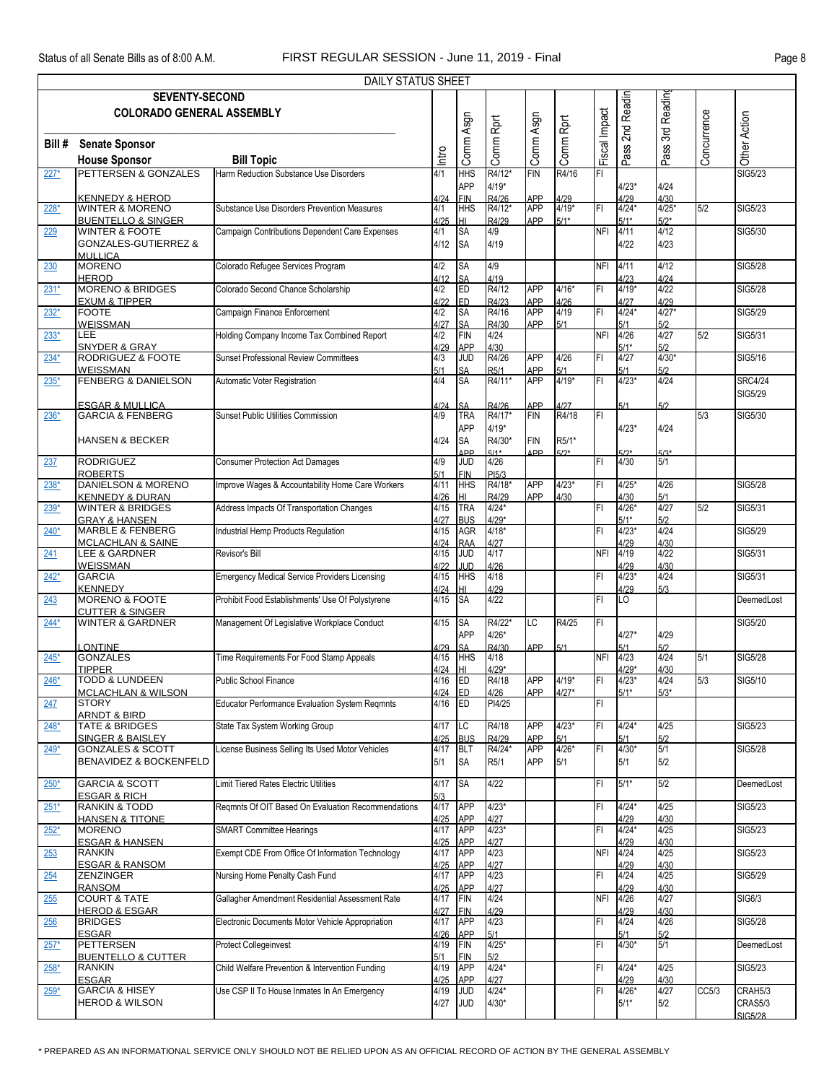|        |                                                                                               | DAILY STATUS SHEET                                   |                      |                                            |                             |                          |                     |                |                              |                        |             |                                      |
|--------|-----------------------------------------------------------------------------------------------|------------------------------------------------------|----------------------|--------------------------------------------|-----------------------------|--------------------------|---------------------|----------------|------------------------------|------------------------|-------------|--------------------------------------|
|        | <b>SEVENTY-SECOND</b><br><b>COLORADO GENERAL ASSEMBLY</b>                                     |                                                      |                      |                                            |                             |                          |                     |                | 2nd Readin                   |                        |             |                                      |
|        |                                                                                               |                                                      |                      |                                            |                             |                          |                     |                |                              | 3rd Readin             |             |                                      |
| Bill # | <b>Senate Sponsor</b><br><b>House Sponsor</b>                                                 | <b>Bill Topic</b>                                    | ntro                 | Comm Asgn                                  | Comm Rprt                   | Comm Asgn                | Comm Rprt           | Fiscal Impact  | Pass:                        | Pass <sup>?</sup>      | Concurrence | Other Action                         |
| $227*$ | PETTERSEN & GONZALES                                                                          | Harm Reduction Substance Use Disorders               | 4/1                  | <b>HHS</b><br><b>APP</b>                   | R4/12*<br>$4/19*$           | <b>FIN</b>               | R4/16               | $\overline{F}$ | $4/23*$                      | 4/24                   |             | <b>SIG5/23</b>                       |
| $228*$ | <b>KENNEDY &amp; HEROD</b><br><b>WINTER &amp; MORENO</b>                                      | Substance Use Disorders Prevention Measures          | 4/24<br>4/1          | <b>FIN</b><br><b>HHS</b>                   | R4/26<br>R4/12*             | APP<br><b>APP</b>        | 4/29<br>$4/19*$     | FI             | 4/29<br>$4/24*$              | 4/30<br>$4/25*$        | 5/2         | <b>SIG5/23</b>                       |
| 229    | <b>BUENTELLO &amp; SINGER</b><br><b>WINTER &amp; FOOTE</b><br><b>GONZALES-GUTIERREZ &amp;</b> | Campaign Contributions Dependent Care Expenses       | 4/25<br>4/1<br>4/12  | HI<br><b>SA</b><br><b>SA</b>               | R4/29<br>4/9<br>4/19        | APP                      | $5/1*$              | <b>NFI</b>     | $5/1*$<br>4/11<br>4/22       | $5/2*$<br>4/12<br>4/23 |             | SIG5/30                              |
| 230    | <b>MULLICA</b><br><b>MORENO</b>                                                               | Colorado Refugee Services Program                    | 4/2                  | <b>SA</b>                                  | 4/9                         |                          |                     | <b>NFI</b>     | 4/11                         | 4/12                   |             | <b>SIG5/28</b>                       |
| $231*$ | <b>HEROD</b><br><b>MORENO &amp; BRIDGES</b>                                                   | Colorado Second Chance Scholarship                   | 4/12<br>4/2          | <b>SA</b><br>ED                            | 4/19<br>R4/12               | <b>APP</b>               | $4/16*$             | FI             | 4/23<br>$4/19*$              | 4/24<br>4/22           |             | <b>SIG5/28</b>                       |
| $232*$ | <b>EXUM &amp; TIPPER</b><br><b>FOOTE</b>                                                      | Campaign Finance Enforcement                         | 4/22<br>4/2<br>4/27  | ED<br><b>SA</b><br><b>SA</b>               | R4/23<br>R4/16<br>R4/30     | APP<br><b>APP</b><br>APP | 4/26<br>4/19<br>5/1 | FI             | 4/27<br>$4/24*$<br>5/1       | 4/29<br>$4/27*$<br>5/2 |             | <b>SIG5/29</b>                       |
| $233*$ | <b>WEISSMAN</b><br><b>LEE</b><br><b>SNYDER &amp; GRAY</b>                                     | Holding Company Income Tax Combined Report           | 4/2<br>4/29          | <b>FIN</b><br><b>APP</b>                   | 4/24<br>4/30                |                          |                     | <b>NFI</b>     | 4/26<br>$5/1*$               | 4/27<br>5/2            | 5/2         | SIG5/31                              |
| $234*$ | RODRIGUEZ & FOOTE<br>WEISSMAN                                                                 | <b>Sunset Professional Review Committees</b>         | 4/3<br>5/1           | <b>JUD</b>                                 | R4/26<br>R5/1               | <b>APP</b><br>APP        | 4/26<br>5/1         | F1             | 4/27<br>5/1                  | $4/30*$<br>5/2         |             | SIG5/16                              |
| $235*$ | <b>FENBERG &amp; DANIELSON</b>                                                                | Automatic Voter Registration                         | 4/4                  | SA<br>SA                                   | R4/11*                      | <b>APP</b>               | $4/19*$             | FI             | $4/23*$                      | 4/24                   |             | <b>SRC4/24</b><br><b>SIG5/29</b>     |
| $236*$ | <b>ESGAR &amp; MULLICA</b><br><b>GARCIA &amp; FENBERG</b>                                     | Sunset Public Utilities Commission                   | 1/24<br>4/9          | SA<br><b>TRA</b>                           | R4/26<br>R4/17*             | APP<br><b>FIN</b>        | 1/27<br>R4/18       | FI             | 5/1                          | 5/2                    | 5/3         | SIG5/30                              |
|        | <b>HANSEN &amp; BECKER</b>                                                                    |                                                      | 4/24                 | <b>APP</b><br><b>SA</b><br>ΔD <sub>D</sub> | $4/19*$<br>R4/30*<br>$5/1*$ | <b>FIN</b><br><b>APP</b> | R5/1*<br>$5/2*$     |                | $4/23*$<br><b>72*</b>        | 4/24<br>$5/3*$         |             |                                      |
| 237    | <b>RODRIGUEZ</b><br><b>ROBERTS</b>                                                            | <b>Consumer Protection Act Damages</b>               | 4/9<br>5/1           | <b>JUD</b><br><b>FIN</b>                   | 4/26<br>PI5/3               |                          |                     | FI             | 4/30                         | 5/1                    |             |                                      |
| 238*   | <b>DANIELSON &amp; MORENO</b><br><b>KENNEDY &amp; DURAN</b>                                   | Improve Wages & Accountability Home Care Workers     | 4/11<br>4/26         | <b>HHS</b><br>HI                           | R4/18*<br>R4/29             | <b>APP</b><br>APP        | $4/23*$<br>4/30     | FI             | $4/25*$<br>4/30              | 4/26<br>5/1            |             | SIG5/28                              |
| $239*$ | <b>WINTER &amp; BRIDGES</b><br><b>GRAY &amp; HANSEN</b>                                       | Address Impacts Of Transportation Changes            | 4/15<br>4/27         | <b>TRA</b><br><b>BUS</b>                   | $4/24*$<br>$4/29*$          |                          |                     | FI             | $4/26*$<br>$5/1*$            | 4/27<br>5/2            | 5/2         | SIG5/31                              |
| $240*$ | MARBLE & FENBERG<br><b>MCLACHLAN &amp; SAINE</b>                                              | Industrial Hemp Products Regulation                  | 4/15<br>4/24         | <b>AGR</b><br><b>RAA</b>                   | $4/18*$<br>4/27             |                          |                     | FI             | $4/23*$<br>4/29              | 4/24<br>4/30           |             | <b>SIG5/29</b>                       |
| 241    | LEE & GARDNER<br><b>WEISSMAN</b>                                                              | Revisor's Bill                                       | 4/15<br>4/22         | <b>JUD</b><br>JUD                          | 4/17<br>4/26                |                          |                     | <b>NFI</b>     | 4/19<br>4/29                 | 4/22<br>4/30           |             | SIG5/31                              |
| $242*$ | <b>GARCIA</b><br><b>KENNEDY</b>                                                               | <b>Emergency Medical Service Providers Licensing</b> | 4/15<br>4/24         | <b>HHS</b><br>HI                           | 4/18<br>4/29                |                          |                     | FI             | $4/23*$<br>4/29              | 4/24<br>5/3            |             | SIG5/31                              |
| 243    | MORENO & FOOTE<br><b>CUTTER &amp; SINGER</b>                                                  | Prohibit Food Establishments' Use Of Polystyrene     | 4/15                 | <b>SA</b>                                  | 4/22                        |                          |                     | FI.            | <b>LO</b>                    |                        |             | DeemedLost                           |
| $244*$ | <b>WINTER &amp; GARDNER</b>                                                                   | Management Of Legislative Workplace Conduct          | $4/15$ SA            | <b>APP</b>                                 | R4/22*<br>$4/26*$           | <b>ILC</b>               | R4/25               | FI             | $4/27*$                      | 4/29                   |             | SIG5/20                              |
| $245*$ | <b>LONTINE</b><br><b>GONZALES</b>                                                             | Time Requirements For Food Stamp Appeals             | 1/29<br>4/15         | <b>SA</b><br><b>HHS</b>                    | R4/30<br>4/18               | APP                      | 5/1                 | <b>NFI</b>     | 5/1<br>4/23                  | 5/2<br>4/24            | 5/1         | <b>SIG5/28</b>                       |
| $246*$ | <b>TIPPER</b><br><b>TODD &amp; LUNDEEN</b>                                                    | <b>Public School Finance</b>                         | 4/24<br>4/16<br>4/24 | HI<br>ED<br>ED.                            | $4/29*$<br>R4/18            | <b>APP</b><br>APP        | $4/19*$<br>$4/27*$  | FI             | $4/29*$<br>$4/23*$<br>$5/1*$ | 4/30<br>4/24<br>$5/3*$ | 5/3         | SIG5/10                              |
| 247    | <b>MCLACHLAN &amp; WILSON</b><br><b>STORY</b><br><b>ARNDT &amp; BIRD</b>                      | Educator Performance Evaluation System Regmnts       | 4/16                 | <b>ED</b>                                  | 4/26<br>PI4/25              |                          |                     | FI.            |                              |                        |             |                                      |
| $248*$ | <b>TATE &amp; BRIDGES</b><br><b>SINGER &amp; BAISLEY</b>                                      | State Tax System Working Group                       | 4/17<br>4/25         | <b>LC</b><br><b>BUS</b>                    | R4/18<br>R4/29              | <b>APP</b><br>APP        | $4/23*$<br>5/1      | lFI.           | $4/24*$<br>5/1               | 4/25<br>5/2            |             | SIG5/23                              |
| $249*$ | <b>GONZALES &amp; SCOTT</b><br>BENAVIDEZ & BOCKENFELD                                         | License Business Selling Its Used Motor Vehicles     | 4/17<br>5/1          | <b>BLT</b><br><b>SA</b>                    | R4/24*<br>R5/1              | <b>APP</b><br>APP        | $4/26*$<br>5/1      | FI             | $4/30*$<br>5/1               | 5/1<br>5/2             |             | <b>SIG5/28</b>                       |
| $250*$ | <b>GARCIA &amp; SCOTT</b><br><b>ESGAR &amp; RICH</b>                                          | Limit Tiered Rates Electric Utilities                | 4/17<br>5/3          | SA                                         | 4/22                        |                          |                     | FI.            | $5/1*$                       | 5/2                    |             | DeemedLost                           |
| $251*$ | <b>RANKIN &amp; TODD</b><br><b>HANSEN &amp; TITONE</b>                                        | Regmnts Of OIT Based On Evaluation Recommendations   | 4/17<br>4/25         | <b>APP</b><br>APP                          | $4/23*$<br>4/27             |                          |                     | FI.            | $4/24*$<br>4/29              | 4/25<br>4/30           |             | SIG5/23                              |
| $252*$ | <b>MORENO</b><br><b>ESGAR &amp; HANSEN</b>                                                    | <b>SMART Committee Hearings</b>                      | 4/17<br>4/25         | <b>APP</b><br>APP                          | $4/23*$<br>4/27             |                          |                     | FI.            | $4/24*$<br>4/29              | 4/25<br>4/30           |             | SIG5/23                              |
| 253    | <b>RANKIN</b><br><b>ESGAR &amp; RANSOM</b>                                                    | Exempt CDE From Office Of Information Technology     | 4/17<br>4/25         | <b>APP</b><br>APP                          | 4/23<br>4/27                |                          |                     | <b>NFI</b>     | 4/24<br>4/29                 | 4/25<br>4/30           |             | <b>SIG5/23</b>                       |
| 254    | <b>ZENZINGER</b><br><b>RANSOM</b>                                                             | Nursing Home Penalty Cash Fund                       | 4/17<br>4/25         | <b>APP</b><br>APP                          | 4/23<br>4/27                |                          |                     | FI             | 4/24<br>4/29                 | 4/25<br>4/30           |             | SIG5/29                              |
| 255    | <b>COURT &amp; TATE</b><br><b>HEROD &amp; ESGAR</b>                                           | Gallagher Amendment Residential Assessment Rate      | 4/17<br>4/27         | <b>FIN</b><br><b>FIN</b>                   | 4/24<br>4/29                |                          |                     | <b>NFI</b>     | 4/26<br>4/29                 | 4/27<br>4/30           |             | <b>SIG6/3</b>                        |
| 256    | <b>BRIDGES</b><br><b>ESGAR</b>                                                                | Electronic Documents Motor Vehicle Appropriation     | 4/17<br>4/26         | <b>APP</b><br><b>APP</b>                   | 4/23<br>5/1                 |                          |                     | FI             | 4/24<br>5/1                  | 4/26<br>5/2            |             | <b>SIG5/28</b>                       |
| $257*$ | <b>PETTERSEN</b><br><b>BUENTELLO &amp; CUTTER</b>                                             | <b>Protect Collegeinvest</b>                         | 4/19<br>5/1          | FIN<br><b>FIN</b>                          | $4/25*$<br>5/2              |                          |                     | FI             | $4/30*$                      | 5/1                    |             | DeemedLost                           |
| $258*$ | <b>RANKIN</b><br><b>ESGAR</b>                                                                 | Child Welfare Prevention & Intervention Funding      | 4/19<br>4/25         | <b>APP</b><br>APP                          | $4/24*$<br>4/27             |                          |                     | FI.            | $4/24*$<br>4/29              | 4/25<br>4/30           |             | SIG5/23                              |
| $259*$ | <b>GARCIA &amp; HISEY</b><br><b>HEROD &amp; WILSON</b>                                        | Use CSP II To House Inmates In An Emergency          | 4/19<br>4/27         | <b>JUD</b><br>JUD                          | $4/24*$<br>$4/30*$          |                          |                     | FI             | $4/26*$<br>$5/1*$            | 4/27<br>5/2            | CC5/3       | CRAH5/3<br>CRAS5/3<br><b>SIG5/28</b> |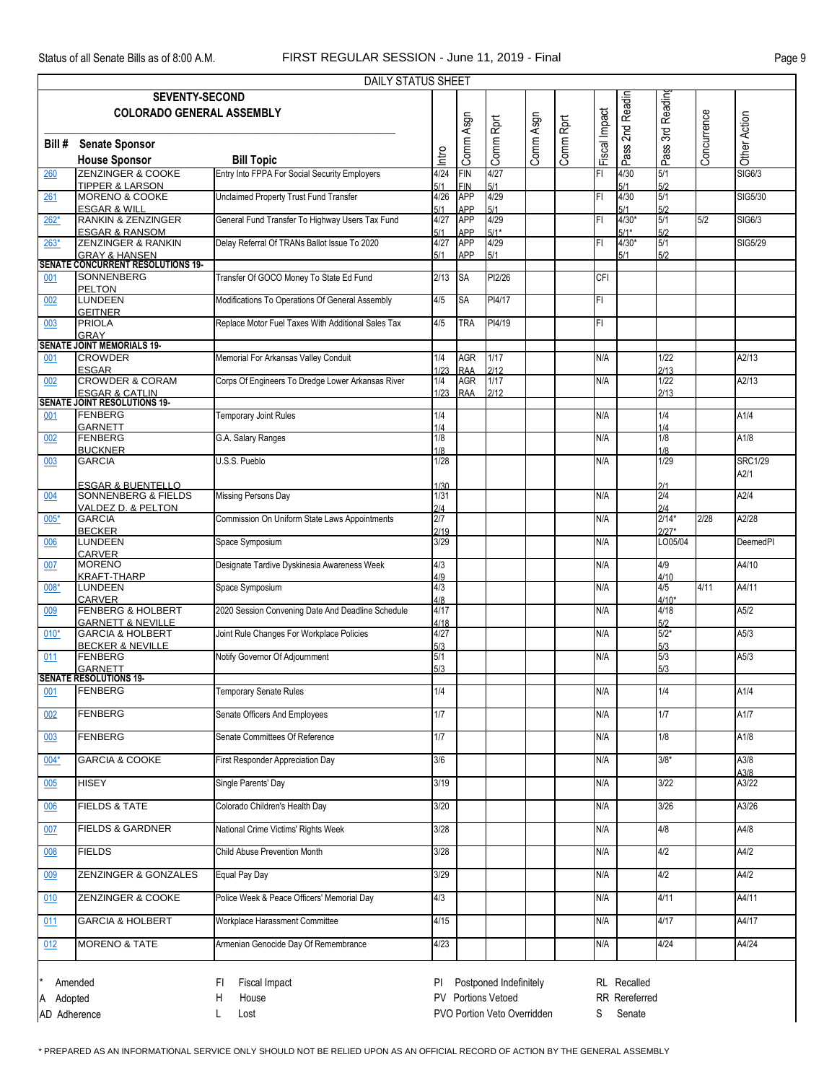|              | <b>DAILY STATUS SHEET</b>                                        |                                                    |              |                   |                             |           |           |               |                   |                    |             |                 |
|--------------|------------------------------------------------------------------|----------------------------------------------------|--------------|-------------------|-----------------------------|-----------|-----------|---------------|-------------------|--------------------|-------------|-----------------|
|              | <b>SEVENTY-SECOND</b>                                            |                                                    |              |                   |                             |           |           |               |                   |                    |             |                 |
|              | <b>COLORADO GENERAL ASSEMBLY</b>                                 |                                                    |              |                   |                             |           |           |               |                   |                    |             |                 |
|              |                                                                  |                                                    |              |                   |                             |           |           |               | 2nd Readin        |                    |             |                 |
| Bill #       | <b>Senate Sponsor</b>                                            |                                                    |              |                   |                             |           |           |               |                   |                    |             |                 |
|              | <b>House Sponsor</b>                                             | <b>Bill Topic</b>                                  | Intro        | Comm Asgn         | Comm Rprt                   | Comm Asgn | Comm Rprt | Fiscal Impact | Pass?             | Pass 3rd Readin    | Concurrence | Other Action    |
| 260          | <b>ZENZINGER &amp; COOKE</b>                                     | Entry Into FPPA For Social Security Employers      | 4/24         | FIN               | 4/27                        |           |           | FI            | 4/30              | 5/1                |             | <b>SIG6/3</b>   |
|              | <b>TIPPER &amp; LARSON</b>                                       |                                                    | 5/1          | <b>FIN</b>        | 5/1                         |           |           |               | 5/1               | 5/2                |             |                 |
| 261          | MORENO & COOKE                                                   | <b>Unclaimed Property Trust Fund Transfer</b>      | 4/26         | <b>APP</b>        | 4/29                        |           |           | FI.           | 4/30              | 5/1                |             | SIG5/30         |
|              | <b>ESGAR &amp; WILL</b>                                          |                                                    | 5/1          | <b>APP</b>        | 5/1                         |           |           |               | 5/1               | 5/2                |             |                 |
| $262*$       | <b>RANKIN &amp; ZENZINGER</b>                                    | General Fund Transfer To Highway Users Tax Fund    | 4/27         | <b>APP</b><br>APP | 4/29<br>$5/1*$              |           |           | FI            | $4/30*$<br>$5/1*$ | 5/1<br>5/2         | 5/2         | SIG6/3          |
| $263*$       | <b>ESGAR &amp; RANSOM</b><br><b>ZENZINGER &amp; RANKIN</b>       | Delay Referral Of TRANs Ballot Issue To 2020       | 5/1<br>4/27  | <b>APP</b>        | 4/29                        |           |           | FI            | $4/30*$           | 5/1                |             | SIG5/29         |
|              | <b>GRAY &amp; HANSEN</b>                                         |                                                    | 5/1          | <b>APP</b>        | 5/1                         |           |           |               | 5/1               | 5/2                |             |                 |
|              | <b>SENATE CONCURRENT RESOLUTIONS 19-</b>                         |                                                    |              |                   |                             |           |           |               |                   |                    |             |                 |
| 001          | SONNENBERG<br>PELTON                                             | Transfer Of GOCO Money To State Ed Fund            | 2/13         | <b>SA</b>         | PI2/26                      |           |           | CFI           |                   |                    |             |                 |
| 002          | <b>LUNDEEN</b>                                                   | Modifications To Operations Of General Assembly    | 4/5          | <b>SA</b>         | PI4/17                      |           |           | FI            |                   |                    |             |                 |
|              | <b>GEITNER</b>                                                   |                                                    |              |                   |                             |           |           |               |                   |                    |             |                 |
| 003          | <b>PRIOLA</b>                                                    | Replace Motor Fuel Taxes With Additional Sales Tax | 4/5          | <b>TRA</b>        | PI4/19                      |           |           | FI            |                   |                    |             |                 |
|              | <b>GRAY</b><br><b>SENATE JOINT MEMORIALS 19-</b>                 |                                                    |              |                   |                             |           |           |               |                   |                    |             |                 |
| 001          | <b>CROWDER</b>                                                   | Memorial For Arkansas Valley Conduit               | 1/4          | <b>AGR</b>        | $1/17$                      |           |           | N/A           |                   | 1/22               |             | A2/13           |
|              | <b>ESGAR</b>                                                     |                                                    | 1/23         | <b>RAA</b>        | 2/12                        |           |           |               |                   | 2/13               |             |                 |
| 002          | <b>CROWDER &amp; CORAM</b>                                       | Corps Of Engineers To Dredge Lower Arkansas River  | 1/4          | <b>AGR</b>        | 1/17                        |           |           | N/A           |                   | 1/22               |             | A2/13           |
|              | <b>ESGAR &amp; CATLIN</b><br><b>SENATE JOINT RESOLUTIONS 19-</b> |                                                    | 1/23         | <b>RAA</b>        | 2/12                        |           |           |               |                   | 2/13               |             |                 |
| 001          | FENBERG                                                          | <b>Temporary Joint Rules</b>                       | 1/4          |                   |                             |           |           | N/A           |                   | 1/4                |             | A1/4            |
|              | <b>GARNETT</b>                                                   |                                                    | 1/4          |                   |                             |           |           |               |                   | 1/4                |             |                 |
| 002          | <b>FENBERG</b>                                                   | G.A. Salary Ranges                                 | 1/8          |                   |                             |           |           | N/A           |                   | 1/8                |             | A1/8            |
|              | <b>BUCKNER</b><br><b>GARCIA</b>                                  | U.S.S. Pueblo                                      | 1/8<br>1/28  |                   |                             |           |           | N/A           |                   | 1/8<br>1/29        |             | <b>SRC1/29</b>  |
| 003          |                                                                  |                                                    |              |                   |                             |           |           |               |                   |                    |             | A2/1            |
|              | <b>ESGAR &amp; BUENTELLO</b>                                     |                                                    | 1/30         |                   |                             |           |           |               |                   | 2/1                |             |                 |
| 004          | <b>SONNENBERG &amp; FIELDS</b>                                   | Missing Persons Day                                | 1/31         |                   |                             |           |           | N/A           |                   | 2/4                |             | A2/4            |
|              | VALDEZ D. & PELTON                                               |                                                    | 2/4          |                   |                             |           |           |               |                   | 2/4                |             |                 |
| $005*$       | <b>GARCIA</b><br><b>BECKER</b>                                   | Commission On Uniform State Laws Appointments      | 2/7<br>2/19  |                   |                             |           |           | N/A           |                   | $2/14*$<br>$2/27*$ | 2/28        | A2/28           |
| 006          | LUNDEEN                                                          | Space Symposium                                    | 3/29         |                   |                             |           |           | N/A           |                   | LO05/04            |             | <b>DeemedPI</b> |
|              | <b>CARVER</b>                                                    |                                                    |              |                   |                             |           |           |               |                   |                    |             |                 |
| 007          | <b>MORENO</b>                                                    | Designate Tardive Dyskinesia Awareness Week        | 4/3          |                   |                             |           |           | N/A           |                   | 4/9                |             | A4/10           |
| 008*         | <b>KRAFT-THARP</b><br><b>LUNDEEN</b>                             | Space Symposium                                    | 4/9<br>4/3   |                   |                             |           |           | N/A           |                   | 4/10<br>4/5        | 4/11        | A4/11           |
|              | <b>CARVER</b>                                                    |                                                    | 4/8          |                   |                             |           |           |               |                   | $4/10*$            |             |                 |
| 009          | <b>FENBERG &amp; HOLBERT</b>                                     | 2020 Session Convening Date And Deadline Schedule  | 4/17         |                   |                             |           |           | N/A           |                   | 4/18               |             | A5/2            |
| $010*$       | <b>GARNETT &amp; NEVILLE</b><br><b>GARCIA &amp; HOLBERT</b>      | Joint Rule Changes For Workplace Policies          | 4/18<br>4/27 |                   |                             |           |           | N/A           |                   | 5/2<br>$5/2*$      |             | A5/3            |
|              | <b>BECKER &amp; NEVILLE</b>                                      |                                                    | 5/3          |                   |                             |           |           |               |                   | 5/3                |             |                 |
| 011          | FENBERG                                                          | Notify Governor Of Adjournment                     | 5/1          |                   |                             |           |           | N/A           |                   | 5/3                |             | A5/3            |
|              | GARNETT<br>SENATE RESOLUTIONS 19-                                |                                                    | 5/3          |                   |                             |           |           |               |                   | 5/3                |             |                 |
|              | <b>FENBERG</b>                                                   | Temporary Senate Rules                             | 1/4          |                   |                             |           |           | N/A           |                   | 1/4                |             | A1/4            |
| 001          |                                                                  |                                                    |              |                   |                             |           |           |               |                   |                    |             |                 |
| 002          | <b>FENBERG</b>                                                   | Senate Officers And Employees                      | 1/7          |                   |                             |           |           | N/A           |                   | 1/7                |             | A1/7            |
|              |                                                                  |                                                    |              |                   |                             |           |           |               |                   |                    |             |                 |
| 003          | <b>FENBERG</b>                                                   | Senate Committees Of Reference                     | 1/7          |                   |                             |           |           | N/A           |                   | 1/8                |             | A1/8            |
| $004*$       | <b>GARCIA &amp; COOKE</b>                                        | First Responder Appreciation Day                   | 3/6          |                   |                             |           |           | N/A           |                   | $3/8*$             |             | A3/8            |
|              |                                                                  |                                                    |              |                   |                             |           |           |               |                   |                    |             | A3/8            |
| 005          | <b>HISEY</b>                                                     | Single Parents' Day                                | 3/19         |                   |                             |           |           | N/A           |                   | 3/22               |             | A3/22           |
| 006          | <b>FIELDS &amp; TATE</b>                                         | Colorado Children's Health Day                     | 3/20         |                   |                             |           |           | N/A           |                   | 3/26               |             | A3/26           |
|              |                                                                  |                                                    |              |                   |                             |           |           |               |                   |                    |             |                 |
| 007          | <b>FIELDS &amp; GARDNER</b>                                      | National Crime Victims' Rights Week                | 3/28         |                   |                             |           |           | N/A           |                   | 4/8                |             | A4/8            |
|              |                                                                  |                                                    |              |                   |                             |           |           |               |                   |                    |             |                 |
| 008          | <b>FIELDS</b>                                                    | Child Abuse Prevention Month                       | 3/28         |                   |                             |           |           | N/A           |                   | 4/2                |             | A4/2            |
| 009          | <b>ZENZINGER &amp; GONZALES</b>                                  | Equal Pay Day                                      | 3/29         |                   |                             |           |           | N/A           |                   | 4/2                |             | A4/2            |
|              |                                                                  |                                                    |              |                   |                             |           |           |               |                   |                    |             |                 |
| 010          | ZENZINGER & COOKE                                                | Police Week & Peace Officers' Memorial Day         | 4/3          |                   |                             |           |           | N/A           |                   | 4/11               |             | A4/11           |
| 011          | <b>GARCIA &amp; HOLBERT</b>                                      | Workplace Harassment Committee                     | 4/15         |                   |                             |           |           | N/A           |                   | 4/17               |             | A4/17           |
|              |                                                                  |                                                    |              |                   |                             |           |           |               |                   |                    |             |                 |
| 012          | <b>MORENO &amp; TATE</b>                                         | Armenian Genocide Day Of Remembrance               | 4/23         |                   |                             |           |           | N/A           |                   | 4/24               |             | A4/24           |
|              |                                                                  |                                                    |              |                   |                             |           |           |               |                   |                    |             |                 |
|              |                                                                  |                                                    |              |                   |                             |           |           |               |                   |                    |             |                 |
|              | Amended                                                          | Fiscal Impact<br>FI.                               | PI.          |                   | Postponed Indefinitely      |           |           |               | RL Recalled       |                    |             |                 |
| Adopted      |                                                                  | Н<br>House                                         |              |                   | PV Portions Vetoed          |           |           |               | RR Rereferred     |                    |             |                 |
| AD Adherence |                                                                  | L<br>Lost                                          |              |                   | PVO Portion Veto Overridden |           |           | S             | Senate            |                    |             |                 |